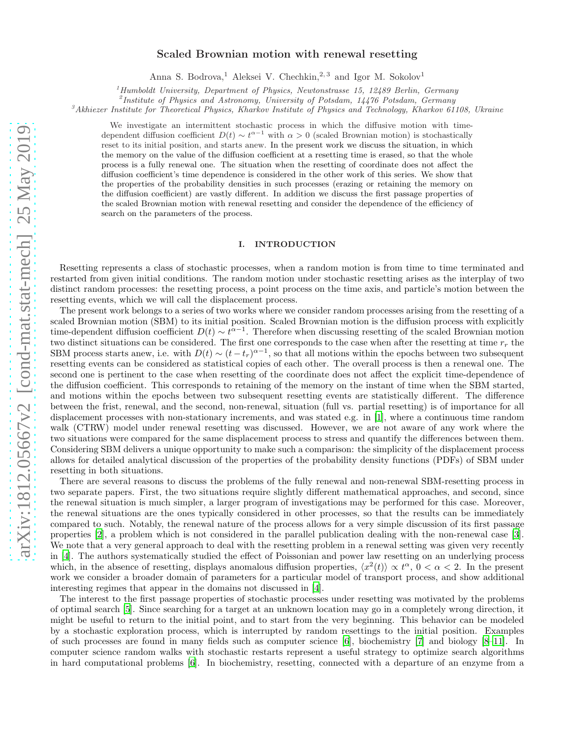# Scaled Brownian motion with renewal resetting

Anna S. Bodrova,<sup>1</sup> Aleksei V. Chechkin,<sup>2,3</sup> and Igor M. Sokolov<sup>1</sup>

<sup>1</sup>Humboldt University, Department of Physics, Newtonstrasse 15, 12489 Berlin, Germany

<sup>2</sup>Institute of Physics and Astronomy, University of Potsdam, 14476 Potsdam, Germany

 ${}^3$ Akhiezer Institute for Theoretical Physics, Kharkov Institute of Physics and Technology, Kharkov 61108, Ukraine

We investigate an intermittent stochastic process in which the diffusive motion with timedependent diffusion coefficient  $D(t) \sim t^{\alpha-1}$  with  $\alpha > 0$  (scaled Brownian motion) is stochastically reset to its initial position, and starts anew. In the present work we discuss the situation, in which the memory on the value of the diffusion coefficient at a resetting time is erased, so that the whole process is a fully renewal one. The situation when the resetting of coordinate does not affect the diffusion coefficient's time dependence is considered in the other work of this series. We show that the properties of the probability densities in such processes (erazing or retaining the memory on the diffusion coefficient) are vastly different. In addition we discuss the first passage properties of the scaled Brownian motion with renewal resetting and consider the dependence of the efficiency of search on the parameters of the process.

### I. INTRODUCTION

Resetting represents a class of stochastic processes, when a random motion is from time to time terminated and restarted from given initial conditions. The random motion under stochastic resetting arises as the interplay of two distinct random processes: the resetting process, a point process on the time axis, and particle's motion between the resetting events, which we will call the displacement process.

The present work belongs to a series of two works where we consider random processes arising from the resetting of a scaled Brownian motion (SBM) to its initial position. Scaled Brownian motion is the diffusion process with explicitly time-dependent diffusion coefficient  $D(t) \sim t^{\alpha-1}$ . Therefore when discussing resetting of the scaled Brownian motion two distinct situations can be considered. The first one corresponds to the case when after the resetting at time  $r_r$  the SBM process starts anew, i.e. with  $D(t) \sim (t - t_r)^{\alpha - 1}$ , so that all motions within the epochs between two subsequent resetting events can be considered as statistical copies of each other. The overall process is then a renewal one. The second one is pertinent to the case when resetting of the coordinate does not affect the explicit time-dependence of the diffusion coefficient. This corresponds to retaining of the memory on the instant of time when the SBM started, and motions within the epochs between two subsequent resetting events are statistically different. The difference between the frist, renewal, and the second, non-renewal, situation (full vs. partial resetting) is of importance for all displacement processes with non-stationary increments, and was stated e.g. in [\[1](#page-18-0)], where a continuous time random walk (CTRW) model under renewal resetting was discussed. However, we are not aware of any work where the two situations were compared for the same displacement process to stress and quantify the differences between them. Considering SBM delivers a unique opportunity to make such a comparison: the simplicity of the displacement process allows for detailed analytical discussion of the properties of the probability density functions (PDFs) of SBM under resetting in both situations.

There are several reasons to discuss the problems of the fully renewal and non-renewal SBM-resetting process in two separate papers. First, the two situations require slightly different mathematical approaches, and second, since the renewal situation is much simpler, a larger program of investigations may be performed for this case. Moreover, the renewal situations are the ones typically considered in other processes, so that the results can be immediately compared to such. Notably, the renewal nature of the process allows for a very simple discussion of its first passage properties [\[2](#page-18-1)], a problem which is not considered in the parallel publication dealing with the non-renewal case [\[3\]](#page-18-2). We note that a very general approach to deal with the resetting problem in a renewal setting was given very recently in [\[4\]](#page-18-3). The authors systematically studied the effect of Poissonian and power law resetting on an underlying process which, in the absence of resetting, displays anomalous diffusion properties,  $\langle x^2(t) \rangle \propto t^{\alpha}$ ,  $0 < \alpha < 2$ . In the present work we consider a broader domain of parameters for a particular model of transport process, and show additional interesting regimes that appear in the domains not discussed in [\[4](#page-18-3)].

The interest to the first passage properties of stochastic processes under resetting was motivated by the problems of optimal search [\[5\]](#page-18-4). Since searching for a target at an unknown location may go in a completely wrong direction, it might be useful to return to the initial point, and to start from the very beginning. This behavior can be modeled by a stochastic exploration process, which is interrupted by random resettings to the initial position. Examples of such processes are found in many fields such as computer science [\[6\]](#page-18-5), biochemistry [\[7\]](#page-18-6) and biology [\[8](#page-18-7)[–11\]](#page-19-0). In computer science random walks with stochastic restarts represent a useful strategy to optimize search algorithms in hard computational problems [\[6\]](#page-18-5). In biochemistry, resetting, connected with a departure of an enzyme from a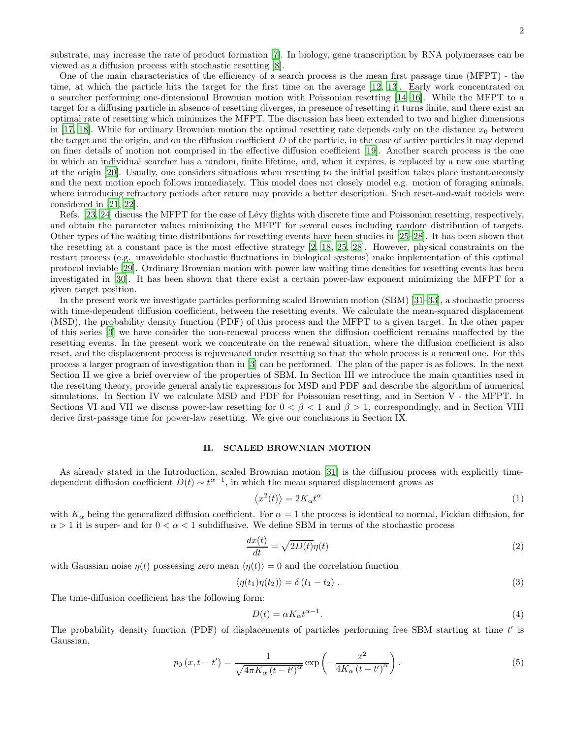2

substrate, may increase the rate of product formation [\[7](#page-18-6)]. In biology, gene transcription by RNA polymerases can be viewed as a diffusion process with stochastic resetting [\[8\]](#page-18-7).

One of the main characteristics of the efficiency of a search process is the mean first passage time (MFPT) - the time, at which the particle hits the target for the first time on the average [\[12,](#page-19-1) [13\]](#page-19-2). Early work concentrated on a searcher performing one-dimensional Brownian motion with Poissonian resetting [\[14](#page-19-3)[–16\]](#page-19-4). While the MFPT to a target for a diffusing particle in absence of resetting diverges, in presence of resetting it turns finite, and there exist an optimal rate of resetting which minimizes the MFPT. The discussion has been extended to two and higher dimensions in [\[17](#page-19-5), [18\]](#page-19-6). While for ordinary Brownian motion the optimal resetting rate depends only on the distance  $x_0$  between the target and the origin, and on the diffusion coefficient  $D$  of the particle, in the case of active particles it may depend on finer details of motion not comprised in the effective diffusion coefficient [\[19](#page-19-7)]. Another search process is the one in which an individual searcher has a random, finite lifetime, and, when it expires, is replaced by a new one starting at the origin [\[20\]](#page-19-8). Usually, one considers situations when resetting to the initial position takes place instantaneously and the next motion epoch follows immediately. This model does not closely model e.g. motion of foraging animals, where introducing refractory periods after return may provide a better description. Such reset-and-wait models were considered in [\[21](#page-19-9), [22](#page-19-10)].

Refs. [\[23](#page-19-11), [24\]](#page-19-12) discuss the MFPT for the case of Lévy flights with discrete time and Poissonian resetting, respectively, and obtain the parameter values minimizing the MFPT for several cases including random distribution of targets. Other types of the waiting time distributions for resetting events have been studies in [\[25–](#page-19-13)[28\]](#page-19-14). It has been shown that the resetting at a constant pace is the most effective strategy [\[2](#page-18-1), [18,](#page-19-6) [25,](#page-19-13) [28](#page-19-14)]. However, physical constraints on the restart process (e.g. unavoidable stochastic fluctuations in biological systems) make implementation of this optimal protocol inviable [\[29](#page-19-15)]. Ordinary Brownian motion with power law waiting time densities for resetting events has been investigated in [\[30\]](#page-19-16). It has been shown that there exist a certain power-law exponent minimizing the MFPT for a given target position.

In the present work we investigate particles performing scaled Brownian motion (SBM) [\[31](#page-19-17)[–33](#page-19-18)], a stochastic process with time-dependent diffusion coefficient, between the resetting events. We calculate the mean-squared displacement (MSD), the probability density function (PDF) of this process and the MFPT to a given target. In the other paper of this series [\[3](#page-18-2)] we have consider the non-renewal process when the diffusion coefficient remains unaffected by the resetting events. In the present work we concentrate on the renewal situation, where the diffusion coefficient is also reset, and the displacement process is rejuvenated under resetting so that the whole process is a renewal one. For this process a larger program of investigation than in [\[3](#page-18-2)] can be performed. The plan of the paper is as follows. In the next Section II we give a brief overview of the properties of SBM. In Section III we introduce the main quantities used in the resetting theory, provide general analytic expressions for MSD and PDF and describe the algorithm of numerical simulations. In Section IV we calculate MSD and PDF for Poissonian resetting, and in Section V - the MFPT. In Sections VI and VII we discuss power-law resetting for  $0 < \beta < 1$  and  $\beta > 1$ , correspondingly, and in Section VIII derive first-passage time for power-law resetting. We give our conclusions in Section IX.

### II. SCALED BROWNIAN MOTION

As already stated in the Introduction, scaled Brownian motion [\[31\]](#page-19-17) is the diffusion process with explicitly timedependent diffusion coefficient  $D(t) \sim t^{\alpha-1}$ , in which the mean squared displacement grows as

$$
\langle x^2(t) \rangle = 2K_\alpha t^\alpha \tag{1}
$$

with  $K_{\alpha}$  being the generalized diffusion coefficient. For  $\alpha = 1$  the process is identical to normal, Fickian diffusion, for  $\alpha > 1$  it is super- and for  $0 < \alpha < 1$  subdiffusive. We define SBM in terms of the stochastic process

$$
\frac{dx(t)}{dt} = \sqrt{2D(t)}\eta(t)
$$
\n(2)

with Gaussian noise  $\eta(t)$  possessing zero mean  $\langle \eta(t) \rangle = 0$  and the correlation function

$$
\langle \eta(t_1)\eta(t_2)\rangle = \delta(t_1 - t_2) \tag{3}
$$

The time-diffusion coefficient has the following form:

$$
D(t) = \alpha K_{\alpha} t^{\alpha - 1}.
$$
\n<sup>(4)</sup>

The probability density function (PDF) of displacements of particles performing free SBM starting at time  $t'$  is Gaussian,

<span id="page-1-0"></span>
$$
p_0(x, t - t') = \frac{1}{\sqrt{4\pi K_\alpha (t - t')^\alpha}} \exp\left(-\frac{x^2}{4K_\alpha (t - t')^\alpha}\right).
$$
\n<sup>(5)</sup>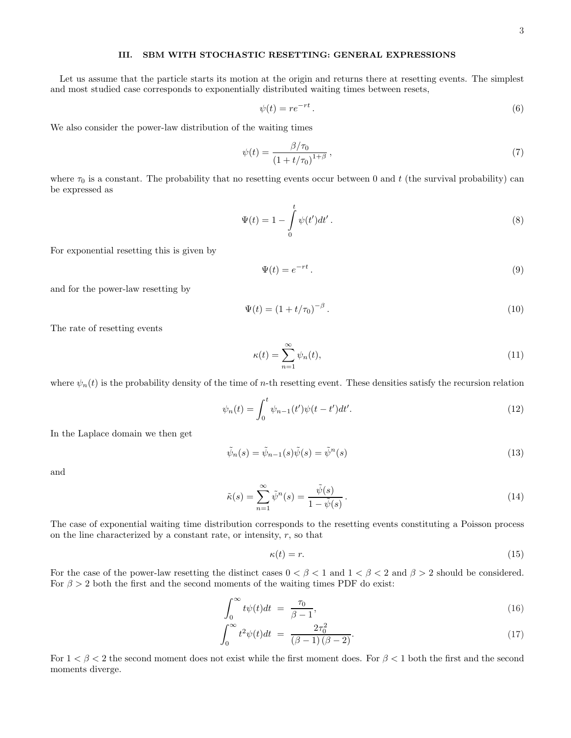# III. SBM WITH STOCHASTIC RESETTING: GENERAL EXPRESSIONS

Let us assume that the particle starts its motion at the origin and returns there at resetting events. The simplest and most studied case corresponds to exponentially distributed waiting times between resets,

<span id="page-2-3"></span>
$$
\psi(t) = re^{-rt}.
$$
\n<sup>(6)</sup>

We also consider the power-law distribution of the waiting times

<span id="page-2-5"></span>
$$
\psi(t) = \frac{\beta/\tau_0}{\left(1 + t/\tau_0\right)^{1+\beta}},\tag{7}
$$

where  $\tau_0$  is a constant. The probability that no resetting events occur between 0 and t (the survival probability) can be expressed as

$$
\Psi(t) = 1 - \int_{0}^{t} \psi(t')dt'.
$$
\n(8)

For exponential resetting this is given by

<span id="page-2-1"></span>
$$
\Psi(t) = e^{-rt}.
$$
\n(9)

and for the power-law resetting by

<span id="page-2-4"></span>
$$
\Psi(t) = (1 + t/\tau_0)^{-\beta} \,. \tag{10}
$$

The rate of resetting events

$$
\kappa(t) = \sum_{n=1}^{\infty} \psi_n(t),\tag{11}
$$

where  $\psi_n(t)$  is the probability density of the time of *n*-th resetting event. These densities satisfy the recursion relation

$$
\psi_n(t) = \int_0^t \psi_{n-1}(t') \psi(t - t') dt'. \tag{12}
$$

In the Laplace domain we then get

$$
\tilde{\psi}_n(s) = \tilde{\psi}_{n-1}(s)\tilde{\psi}(s) = \tilde{\psi}^n(s)
$$
\n(13)

and

<span id="page-2-0"></span>
$$
\tilde{\kappa}(s) = \sum_{n=1}^{\infty} \tilde{\psi}^n(s) = \frac{\tilde{\psi}(s)}{1 - \tilde{\psi}(s)}.
$$
\n(14)

The case of exponential waiting time distribution corresponds to the resetting events constituting a Poisson process on the line characterized by a constant rate, or intensity,  $r$ , so that

<span id="page-2-2"></span>
$$
\kappa(t) = r.\tag{15}
$$

For the case of the power-law resetting the distinct cases  $0 < \beta < 1$  and  $1 < \beta < 2$  and  $\beta > 2$  should be considered. For  $\beta > 2$  both the first and the second moments of the waiting times PDF do exist:

$$
\int_0^\infty t\psi(t)dt = \frac{\tau_0}{\beta - 1},\tag{16}
$$

$$
\int_0^\infty t^2 \psi(t) dt = \frac{2\tau_0^2}{(\beta - 1)(\beta - 2)}.
$$
\n(17)

For  $1 < \beta < 2$  the second moment does not exist while the first moment does. For  $\beta < 1$  both the first and the second moments diverge.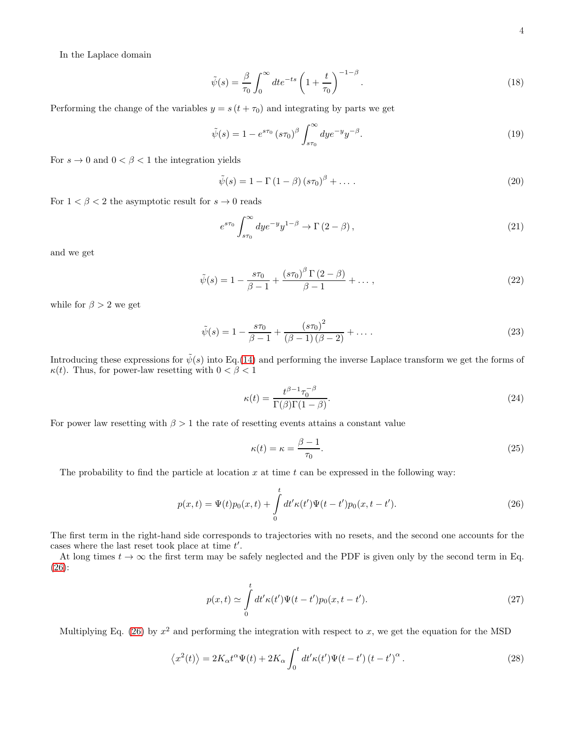In the Laplace domain

$$
\tilde{\psi}(s) = \frac{\beta}{\tau_0} \int_0^\infty dt e^{-ts} \left( 1 + \frac{t}{\tau_0} \right)^{-1-\beta} . \tag{18}
$$

Performing the change of the variables  $y = s(t + \tau_0)$  and integrating by parts we get

$$
\tilde{\psi}(s) = 1 - e^{s\tau_0} (s\tau_0)^{\beta} \int_{s\tau_0}^{\infty} dy e^{-y} y^{-\beta}.
$$
\n(19)

For  $s \to 0$  and  $0 < \beta < 1$  the integration yields

$$
\tilde{\psi}(s) = 1 - \Gamma(1 - \beta)\left(s\tau_0\right)^{\beta} + \dots \tag{20}
$$

For  $1 < \beta < 2$  the asymptotic result for  $s \to 0$  reads

$$
e^{s\tau_0} \int_{s\tau_0}^{\infty} dy e^{-y} y^{1-\beta} \to \Gamma(2-\beta), \qquad (21)
$$

and we get

$$
\tilde{\psi}(s) = 1 - \frac{s\tau_0}{\beta - 1} + \frac{(s\tau_0)^{\beta} \Gamma(2 - \beta)}{\beta - 1} + \dots,
$$
\n(22)

while for  $\beta > 2$  we get

$$
\tilde{\psi}(s) = 1 - \frac{s\tau_0}{\beta - 1} + \frac{(s\tau_0)^2}{(\beta - 1)(\beta - 2)} + \dots
$$
\n(23)

Introducing these expressions for  $\tilde{\psi}(s)$  into Eq.[\(14\)](#page-2-0) and performing the inverse Laplace transform we get the forms of  $\kappa(t)$ . Thus, for power-law resetting with  $0 < \beta < 1$ 

<span id="page-3-3"></span>
$$
\kappa(t) = \frac{t^{\beta - 1} \tau_0^{-\beta}}{\Gamma(\beta)\Gamma(1 - \beta)}.
$$
\n(24)

For power law resetting with  $\beta > 1$  the rate of resetting events attains a constant value

<span id="page-3-4"></span>
$$
\kappa(t) = \kappa = \frac{\beta - 1}{\tau_0}.\tag{25}
$$

The probability to find the particle at location x at time t can be expressed in the following way:

<span id="page-3-0"></span>
$$
p(x,t) = \Psi(t)p_0(x,t) + \int_0^t dt' \kappa(t')\Psi(t-t')p_0(x,t-t').
$$
\n(26)

The first term in the right-hand side corresponds to trajectories with no resets, and the second one accounts for the cases where the last reset took place at time  $t'$ .

At long times  $t \to \infty$  the first term may be safely neglected and the PDF is given only by the second term in Eq. [\(26\)](#page-3-0):

<span id="page-3-2"></span>
$$
p(x,t) \simeq \int_{0}^{t} dt' \kappa(t') \Psi(t-t') p_0(x,t-t'). \tag{27}
$$

Multiplying Eq. [\(26\)](#page-3-0) by  $x^2$  and performing the integration with respect to x, we get the equation for the MSD

<span id="page-3-1"></span>
$$
\langle x^2(t) \rangle = 2K_{\alpha}t^{\alpha}\Psi(t) + 2K_{\alpha}\int_0^t dt' \kappa(t')\Psi(t-t')\left(t-t'\right)^{\alpha}.
$$
 (28)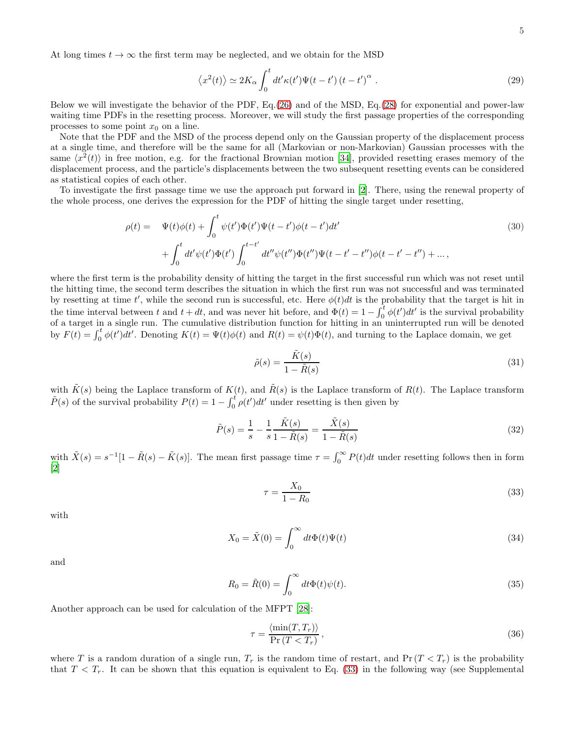At long times  $t \to \infty$  the first term may be neglected, and we obtain for the MSD

<span id="page-4-3"></span>
$$
\langle x^2(t) \rangle \simeq 2K_{\alpha} \int_0^t dt' \kappa(t') \Psi(t-t') (t-t')^{\alpha} . \tag{29}
$$

Below we will investigate the behavior of the PDF, Eq.[\(26\)](#page-3-0) and of the MSD, Eq.[\(28\)](#page-3-1) for exponential and power-law waiting time PDFs in the resetting process. Moreover, we will study the first passage properties of the corresponding processes to some point  $x_0$  on a line.

Note that the PDF and the MSD of the process depend only on the Gaussian property of the displacement process at a single time, and therefore will be the same for all (Markovian or non-Markovian) Gaussian processes with the same  $\langle x^2(t) \rangle$  in free motion, e.g. for the fractional Brownian motion [\[34\]](#page-19-19), provided resetting erases memory of the displacement process, and the particle's displacements between the two subsequent resetting events can be considered as statistical copies of each other.

To investigate the first passage time we use the approach put forward in [\[2\]](#page-18-1). There, using the renewal property of the whole process, one derives the expression for the PDF of hitting the single target under resetting,

$$
\rho(t) = \Psi(t)\phi(t) + \int_0^t \psi(t')\Phi(t')\Psi(t-t')\phi(t-t')dt' + \int_0^t dt'\psi(t')\Phi(t')\int_0^{t-t'} dt''\psi(t'')\Phi(t'')\Psi(t-t'-t'')\phi(t-t'-t'') + ...,
$$
\n(30)

where the first term is the probability density of hitting the target in the first successful run which was not reset until the hitting time, the second term describes the situation in which the first run was not successful and was terminated by resetting at time t', while the second run is successful, etc. Here  $\phi(t)dt$  is the probability that the target is hit in the time interval between t and  $t + dt$ , and was never hit before, and  $\Phi(t) = 1 - \int_0^t \phi(t')dt'$  is the survival probability of a target in a single run. The cumulative distribution function for hitting in an uninterrupted run will be denoted by  $F(t) = \int_0^t \phi(t')dt'$ . Denoting  $K(t) = \Psi(t)\phi(t)$  and  $R(t) = \psi(t)\Phi(t)$ , and turning to the Laplace domain, we get

$$
\tilde{\rho}(s) = \frac{\tilde{K}(s)}{1 - \tilde{R}(s)}\tag{31}
$$

with  $\tilde{K}(s)$  being the Laplace transform of  $K(t)$ , and  $\tilde{R}(s)$  is the Laplace transform of  $R(t)$ . The Laplace transform  $\tilde{P}(s)$  of the survival probability  $P(t) = 1 - \int_0^t \rho(t')dt'$  under resetting is then given by

$$
\tilde{P}(s) = \frac{1}{s} - \frac{1}{s} \frac{\tilde{K}(s)}{1 - \tilde{R}(s)} = \frac{\tilde{X}(s)}{1 - \tilde{R}(s)}
$$
\n(32)

with  $\tilde{X}(s) = s^{-1}[1 - \tilde{R}(s) - \tilde{K}(s)]$ . The mean first passage time  $\tau = \int_0^\infty P(t)dt$  under resetting follows then in form [\[2\]](#page-18-1)

<span id="page-4-0"></span>
$$
\tau = \frac{X_0}{1 - R_0} \tag{33}
$$

with

<span id="page-4-2"></span>
$$
X_0 = \tilde{X}(0) = \int_0^\infty dt \Phi(t)\Psi(t)
$$
\n(34)

and

<span id="page-4-4"></span>
$$
R_0 = \tilde{R}(0) = \int_0^\infty dt \Phi(t)\psi(t).
$$
\n(35)

Another approach can be used for calculation of the MFPT [\[28](#page-19-14)]:

<span id="page-4-1"></span>
$$
\tau = \frac{\langle \min(T, T_r) \rangle}{\Pr(T < T_r)},\tag{36}
$$

where T is a random duration of a single run,  $T_r$  is the random time of restart, and  $Pr(T < T_r)$  is the probability that  $T < T_r$ . It can be shown that this equation is equivalent to Eq. [\(33\)](#page-4-0) in the following way (see Supplemental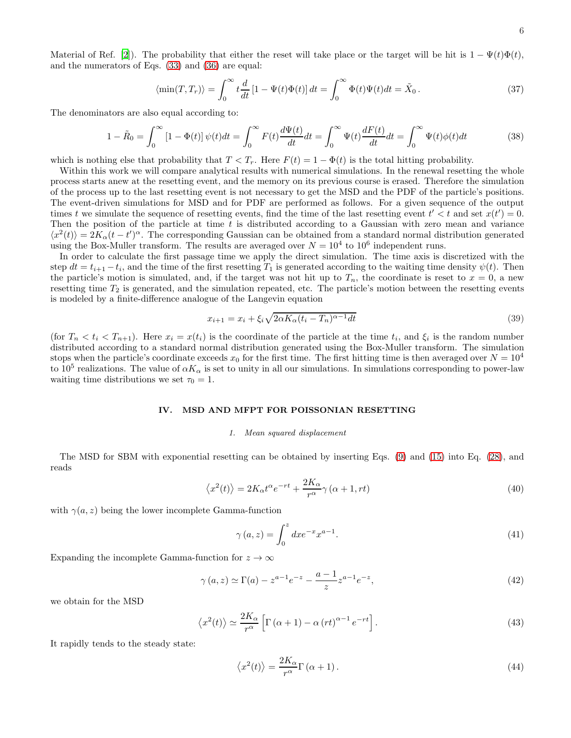Material of Ref. [\[2](#page-18-1)]). The probability that either the reset will take place or the target will be hit is  $1 - \Psi(t)\Phi(t)$ , and the numerators of Eqs. [\(33\)](#page-4-0) and [\(36\)](#page-4-1) are equal:

$$
\langle \min(T, T_r) \rangle = \int_0^\infty t \frac{d}{dt} \left[ 1 - \Psi(t)\Phi(t) \right] dt = \int_0^\infty \Phi(t)\Psi(t) dt = \tilde{X}_0 \,. \tag{37}
$$

The denominators are also equal according to:

$$
1 - \tilde{R}_0 = \int_0^\infty \left[1 - \Phi(t)\right] \psi(t) dt = \int_0^\infty F(t) \frac{d\Psi(t)}{dt} dt = \int_0^\infty \Psi(t) \frac{dF(t)}{dt} dt = \int_0^\infty \Psi(t) \phi(t) dt \tag{38}
$$

which is nothing else that probability that  $T < T_r$ . Here  $F(t) = 1 - \Phi(t)$  is the total hitting probability.

Within this work we will compare analytical results with numerical simulations. In the renewal resetting the whole process starts anew at the resetting event, and the memory on its previous course is erased. Therefore the simulation of the process up to the last resetting event is not necessary to get the MSD and the PDF of the particle's positions. The event-driven simulations for MSD and for PDF are performed as follows. For a given sequence of the output times t we simulate the sequence of resetting events, find the time of the last resetting event  $t' < t$  and set  $x(t') = 0$ . Then the position of the particle at time  $t$  is distributed according to a Gaussian with zero mean and variance  $\langle x^2(t)\rangle = 2K_\alpha(t-t')^\alpha$ . The corresponding Gaussian can be obtained from a standard normal distribution generated using the Box-Muller transform. The results are averaged over  $N = 10^4$  to  $10^6$  independent runs.

In order to calculate the first passage time we apply the direct simulation. The time axis is discretized with the step  $dt = t_{i+1} - t_i$ , and the time of the first resetting  $T_1$  is generated according to the waiting time density  $\psi(t)$ . Then the particle's motion is simulated, and, if the target was not hit up to  $T_n$ , the coordinate is reset to  $x = 0$ , a new resetting time  $T_2$  is generated, and the simulation repeated, etc. The particle's motion between the resetting events is modeled by a finite-difference analogue of the Langevin equation

$$
x_{i+1} = x_i + \xi_i \sqrt{2\alpha K_\alpha (t_i - T_n)^{\alpha - 1} dt} \tag{39}
$$

(for  $T_n < t_i < T_{n+1}$ ). Here  $x_i = x(t_i)$  is the coordinate of the particle at the time  $t_i$ , and  $\xi_i$  is the random number distributed according to a standard normal distribution generated using the Box-Muller transform. The simulation stops when the particle's coordinate exceeds  $x_0$  for the first time. The first hitting time is then averaged over  $N = 10^4$ to 10<sup>5</sup> realizations. The value of  $\alpha K_{\alpha}$  is set to unity in all our simulations. In simulations corresponding to power-law waiting time distributions we set  $\tau_0 = 1$ .

## IV. MSD AND MFPT FOR POISSONIAN RESETTING

#### 1. Mean squared displacement

The MSD for SBM with exponential resetting can be obtained by inserting Eqs. [\(9\)](#page-2-1) and [\(15\)](#page-2-2) into Eq. [\(28\)](#page-3-1), and reads

$$
\langle x^2(t) \rangle = 2K_{\alpha}t^{\alpha}e^{-rt} + \frac{2K_{\alpha}}{r^{\alpha}}\gamma(\alpha+1, rt)
$$
\n(40)

with  $\gamma(a, z)$  being the lower incomplete Gamma-function

$$
\gamma(a, z) = \int_0^z dx e^{-x} x^{a-1}.
$$
\n(41)

Expanding the incomplete Gamma-function for  $z \to \infty$ 

$$
\gamma(a, z) \simeq \Gamma(a) - z^{a-1} e^{-z} - \frac{a-1}{z} z^{a-1} e^{-z},\tag{42}
$$

we obtain for the MSD

$$
\langle x^2(t) \rangle \simeq \frac{2K_{\alpha}}{r^{\alpha}} \left[ \Gamma\left(\alpha + 1\right) - \alpha \left(rt\right)^{\alpha - 1} e^{-rt} \right]. \tag{43}
$$

It rapidly tends to the steady state:

<span id="page-5-0"></span>
$$
\langle x^2(t) \rangle = \frac{2K_{\alpha}}{r^{\alpha}} \Gamma(\alpha + 1). \tag{44}
$$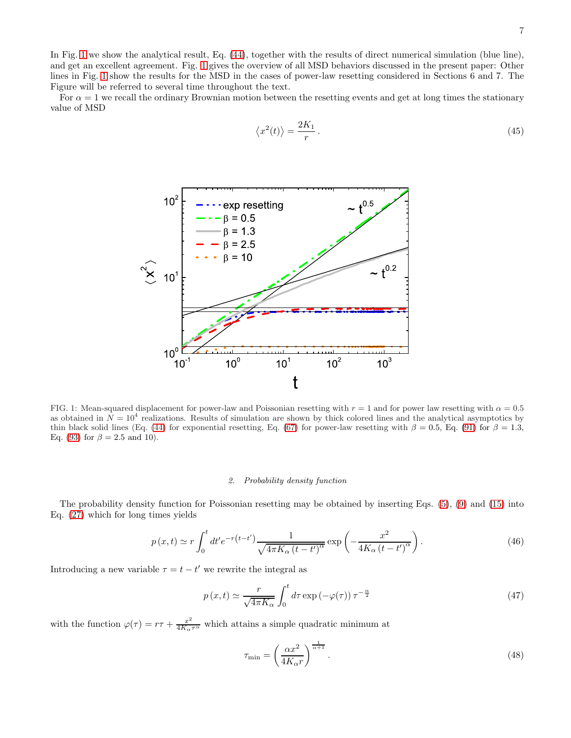In Fig. [1](#page-6-0) we show the analytical result, Eq. [\(44\)](#page-5-0), together with the results of direct numerical simulation (blue line), and get an excellent agreement. Fig. [1](#page-6-0) gives the overview of all MSD behaviors discussed in the present paper: Other lines in Fig. [1](#page-6-0) show the results for the MSD in the cases of power-law resetting considered in Sections 6 and 7. The Figure will be referred to several time throughout the text.

For  $\alpha = 1$  we recall the ordinary Brownian motion between the resetting events and get at long times the stationary value of MSD

$$
\langle x^2(t) \rangle = \frac{2K_1}{r} \,. \tag{45}
$$



<span id="page-6-0"></span>FIG. 1: Mean-squared displacement for power-law and Poissonian resetting with  $r = 1$  and for power law resetting with  $\alpha = 0.5$ as obtained in  $N = 10<sup>4</sup>$  realizations. Results of simulation are shown by thick colored lines and the analytical asymptotics by thin black solid lines (Eq. [\(44\)](#page-5-0) for exponential resetting, Eq. [\(67\)](#page-10-0) for power-law resetting with  $\beta = 0.5$ , Eq. [\(91\)](#page-13-0) for  $\beta = 1.3$ , Eq. [\(93\)](#page-14-0) for  $\beta = 2.5$  and 10).

#### 2. Probability density function

The probability density function for Poissonian resetting may be obtained by inserting Eqs. [\(5\)](#page-1-0), [\(9\)](#page-2-1) and [\(15\)](#page-2-2) into Eq. [\(27\)](#page-3-2) which for long times yields

<span id="page-6-1"></span>
$$
p(x,t) \simeq r \int_0^t dt' e^{-r(t-t')} \frac{1}{\sqrt{4\pi K_\alpha (t-t')^\alpha}} \exp\left(-\frac{x^2}{4K_\alpha (t-t')^\alpha}\right). \tag{46}
$$

Introducing a new variable  $\tau = t - t'$  we rewrite the integral as

$$
p(x,t) \simeq \frac{r}{\sqrt{4\pi K_{\alpha}}} \int_{0}^{t} d\tau \exp\left(-\varphi(\tau)\right) \tau^{-\frac{\alpha}{2}}
$$
\n(47)

with the function  $\varphi(\tau) = r\tau + \frac{x^2}{4K_{\alpha}\tau^{\alpha}}$  which attains a simple quadratic minimum at

$$
\tau_{\min} = \left(\frac{\alpha x^2}{4K_{\alpha}r}\right)^{\frac{1}{\alpha+1}}.\tag{48}
$$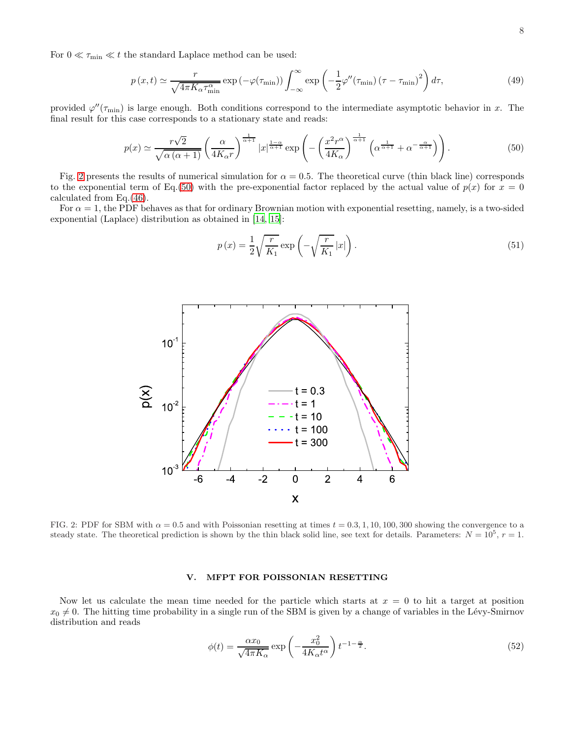For  $0 \ll \tau_{\min} \ll t$  the standard Laplace method can be used:

$$
p(x,t) \simeq \frac{r}{\sqrt{4\pi K_{\alpha}\tau_{\min}^{\alpha}}} \exp\left(-\varphi(\tau_{\min})\right) \int_{-\infty}^{\infty} \exp\left(-\frac{1}{2}\varphi''(\tau_{\min})\left(\tau - \tau_{\min}\right)^{2}\right) d\tau, \tag{49}
$$

provided  $\varphi''(\tau_{\rm min})$  is large enough. Both conditions correspond to the intermediate asymptotic behavior in x. The final result for this case corresponds to a stationary state and reads:

<span id="page-7-1"></span>
$$
p(x) \simeq \frac{r\sqrt{2}}{\sqrt{\alpha\left(\alpha+1\right)}} \left(\frac{\alpha}{4K_{\alpha}r}\right)^{\frac{1}{\alpha+1}} |x|^{\frac{1-\alpha}{\alpha+1}} \exp\left(-\left(\frac{x^{2}r^{\alpha}}{4K_{\alpha}}\right)^{\frac{1}{\alpha+1}} \left(\alpha^{\frac{1}{\alpha+1}} + \alpha^{-\frac{\alpha}{\alpha+1}}\right)\right). \tag{50}
$$

Fig. [2](#page-7-0) presents the results of numerical simulation for  $\alpha = 0.5$ . The theoretical curve (thin black line) corresponds to the exponential term of Eq.[\(50\)](#page-7-1) with the pre-exponential factor replaced by the actual value of  $p(x)$  for  $x = 0$ calculated from Eq.[\(46\)](#page-6-1).

For  $\alpha = 1$ , the PDF behaves as that for ordinary Brownian motion with exponential resetting, namely, is a two-sided exponential (Laplace) distribution as obtained in [\[14,](#page-19-3) [15\]](#page-19-20):

$$
p(x) = \frac{1}{2} \sqrt{\frac{r}{K_1}} \exp\left(-\sqrt{\frac{r}{K_1}} |x|\right).
$$
\n(51)



<span id="page-7-0"></span>FIG. 2: PDF for SBM with  $\alpha = 0.5$  and with Poissonian resetting at times  $t = 0.3, 1, 10, 100, 300$  showing the convergence to a steady state. The theoretical prediction is shown by the thin black solid line, see text for details. Parameters:  $N = 10^5$ ,  $r = 1$ .

# V. MFPT FOR POISSONIAN RESETTING

Now let us calculate the mean time needed for the particle which starts at  $x = 0$  to hit a target at position  $x_0 \neq 0$ . The hitting time probability in a single run of the SBM is given by a change of variables in the Lévy-Smirnov distribution and reads

$$
\phi(t) = \frac{\alpha x_0}{\sqrt{4\pi K_\alpha}} \exp\left(-\frac{x_0^2}{4K_\alpha t^\alpha}\right) t^{-1-\frac{\alpha}{2}}.\tag{52}
$$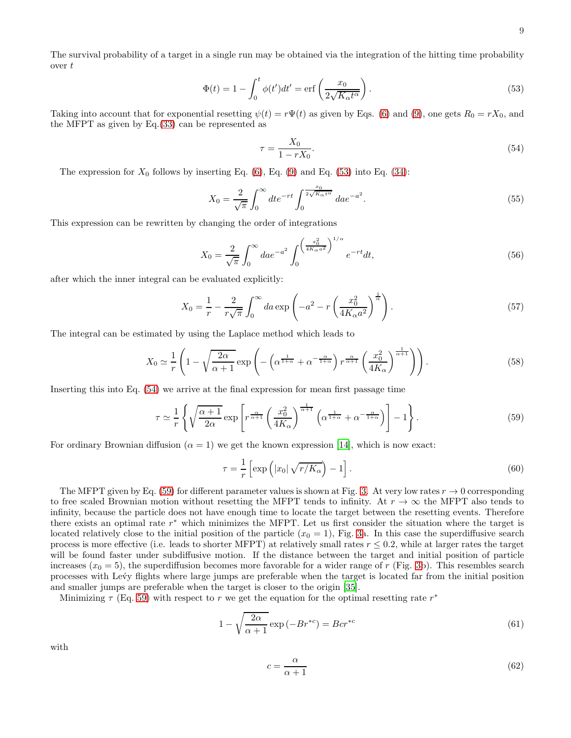The survival probability of a target in a single run may be obtained via the integration of the hitting time probability over  $t$ 

<span id="page-8-0"></span>
$$
\Phi(t) = 1 - \int_0^t \phi(t')dt' = \text{erf}\left(\frac{x_0}{2\sqrt{K_\alpha t^\alpha}}\right). \tag{53}
$$

Taking into account that for exponential resetting  $\psi(t) = r\Psi(t)$  as given by Eqs. [\(6\)](#page-2-3) and [\(9\)](#page-2-1), one gets  $R_0 = rX_0$ , and the MFPT as given by Eq.[\(33\)](#page-4-0) can be represented as

<span id="page-8-1"></span>
$$
\tau = \frac{X_0}{1 - rX_0}.\tag{54}
$$

The expression for  $X_0$  follows by inserting Eq. [\(6\)](#page-2-3), Eq. [\(9\)](#page-2-1) and Eq. [\(53\)](#page-8-0) into Eq. [\(34\)](#page-4-2):

$$
X_0 = \frac{2}{\sqrt{\pi}} \int_0^\infty dt e^{-rt} \int_0^{\frac{x_0}{2\sqrt{K_\alpha t^\alpha}}} da e^{-a^2}.
$$
 (55)

This expression can be rewritten by changing the order of integrations

$$
X_0 = \frac{2}{\sqrt{\pi}} \int_0^\infty da e^{-a^2} \int_0^{\left(\frac{x_0^2}{4K_\alpha a^2}\right)^{1/\alpha}} e^{-rt} dt,\tag{56}
$$

after which the inner integral can be evaluated explicitly:

$$
X_0 = \frac{1}{r} - \frac{2}{r\sqrt{\pi}} \int_0^\infty da \exp\left(-a^2 - r\left(\frac{x_0^2}{4K_\alpha a^2}\right)^{\frac{1}{\alpha}}\right).
$$
 (57)

The integral can be estimated by using the Laplace method which leads to

$$
X_0 \simeq \frac{1}{r} \left( 1 - \sqrt{\frac{2\alpha}{\alpha + 1}} \exp\left( -\left( \alpha^{\frac{1}{1 + \alpha}} + \alpha^{-\frac{\alpha}{1 + \alpha}} \right) r^{\frac{\alpha}{\alpha + 1}} \left( \frac{x_0^2}{4K_\alpha} \right)^{\frac{1}{\alpha + 1}} \right) \right). \tag{58}
$$

Inserting this into Eq. [\(54\)](#page-8-1) we arrive at the final expression for mean first passage time

<span id="page-8-2"></span>
$$
\tau \simeq \frac{1}{r} \left\{ \sqrt{\frac{\alpha + 1}{2\alpha}} \exp\left[ r^{\frac{\alpha}{\alpha + 1}} \left( \frac{x_0^2}{4K_\alpha} \right)^{\frac{1}{\alpha + 1}} \left( \alpha^{\frac{1}{1 + \alpha}} + \alpha^{-\frac{\alpha}{1 + \alpha}} \right) \right] - 1 \right\}.
$$
 (59)

For ordinary Brownian diffusion  $(\alpha = 1)$  we get the known expression [\[14\]](#page-19-3), which is now exact:

$$
\tau = \frac{1}{r} \left[ \exp\left( |x_0| \sqrt{r/K_\alpha} \right) - 1 \right]. \tag{60}
$$

The MFPT given by Eq. [\(59\)](#page-8-2) for different parameter values is shown at Fig. [3.](#page-9-0) At very low rates  $r \to 0$  corresponding to free scaled Brownian motion without resetting the MFPT tends to infinity. At  $r \to \infty$  the MFPT also tends to infinity, because the particle does not have enough time to locate the target between the resetting events. Therefore there exists an optimal rate  $r^*$  which minimizes the MFPT. Let us first consider the situation where the target is located relatively close to the initial position of the particle  $(x_0 = 1)$ , Fig. [3a](#page-9-0). In this case the superdiffusive search process is more effective (i.e. leads to shorter MFPT) at relatively small rates  $r \leq 0.2$ , while at larger rates the target will be found faster under subdiffusive motion. If the distance between the target and initial position of particle increases  $(x_0 = 5)$ , the superdiffusion becomes more favorable for a wider range of r (Fig. [3b](#page-9-0)). This resembles search processes with Le´vy flights where large jumps are preferable when the target is located far from the initial position and smaller jumps are preferable when the target is closer to the origin [\[35\]](#page-19-21).

Minimizing  $\tau$  (Eq. [59\)](#page-8-2) with respect to r we get the equation for the optimal resetting rate  $r^*$ 

<span id="page-8-3"></span>
$$
1 - \sqrt{\frac{2\alpha}{\alpha + 1}} \exp\left(-Br^{*c}\right) = Bcr^{*c}
$$
\n<sup>(61)</sup>

with

$$
c = \frac{\alpha}{\alpha + 1} \tag{62}
$$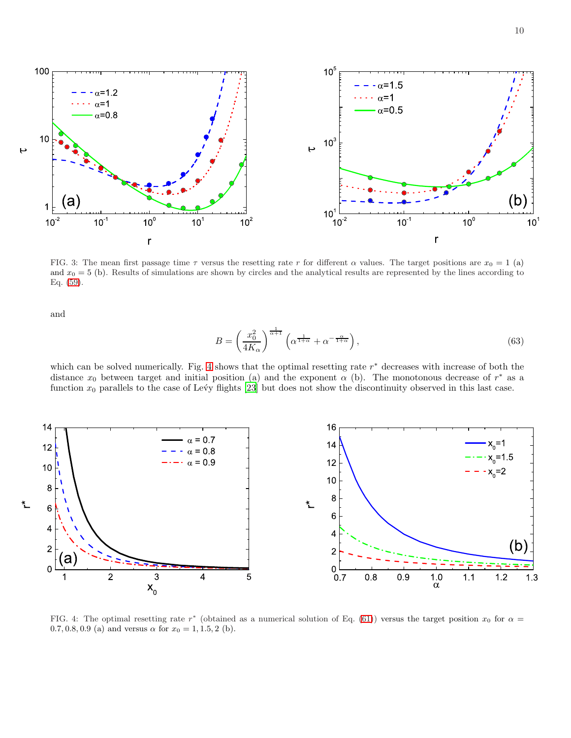



<span id="page-9-0"></span>FIG. 3: The mean first passage time  $\tau$  versus the resetting rate r for different  $\alpha$  values. The target positions are  $x_0 = 1$  (a) and  $x_0 = 5$  (b). Results of simulations are shown by circles and the analytical results are represented by the lines according to Eq. [\(59\)](#page-8-2).

and

$$
B = \left(\frac{x_0^2}{4K_{\alpha}}\right)^{\frac{1}{\alpha+1}} \left(\alpha^{\frac{1}{1+\alpha}} + \alpha^{-\frac{\alpha}{1+\alpha}}\right),\tag{63}
$$

which can be solved numerically. Fig. [4](#page-9-1) shows that the optimal resetting rate  $r^*$  decreases with increase of both the distance  $x_0$  between target and initial position (a) and the exponent  $\alpha$  (b). The monotonous decrease of  $r^*$  as a function  $x_0$  parallels to the case of Levy flights [\[23\]](#page-19-11) but does not show the discontinuity observed in this last case.



<span id="page-9-1"></span>FIG. 4: The optimal resetting rate  $r^*$  (obtained as a numerical solution of Eq. [\(61\)](#page-8-3)) versus the target position  $x_0$  for  $\alpha =$ 0.7, 0.8, 0.9 (a) and versus  $\alpha$  for  $x_0 = 1, 1.5, 2$  (b).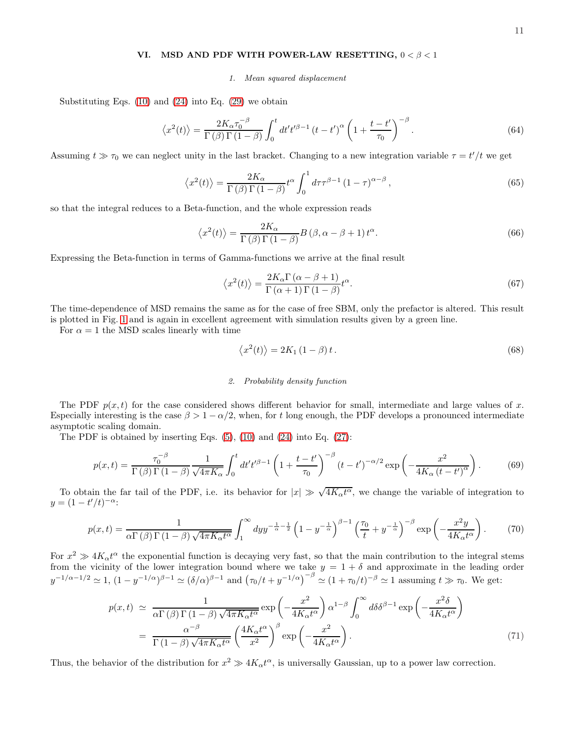### VI. MSD AND PDF WITH POWER-LAW RESETTING,  $0 < \beta < 1$

1. Mean squared displacement

Substituting Eqs.  $(10)$  and  $(24)$  into Eq.  $(29)$  we obtain

$$
\left\langle x^{2}(t)\right\rangle = \frac{2K_{\alpha}\tau_{0}^{-\beta}}{\Gamma\left(\beta\right)\Gamma\left(1-\beta\right)} \int_{0}^{t} dt' t'^{\beta-1} \left(t-t'\right)^{\alpha} \left(1+\frac{t-t'}{\tau_{0}}\right)^{-\beta} . \tag{64}
$$

Assuming  $t \gg \tau_0$  we can neglect unity in the last bracket. Changing to a new integration variable  $\tau = t'/t$  we get

$$
\left\langle x^{2}(t)\right\rangle = \frac{2K_{\alpha}}{\Gamma\left(\beta\right)\Gamma\left(1-\beta\right)}t^{\alpha}\int_{0}^{1}d\tau\tau^{\beta-1}\left(1-\tau\right)^{\alpha-\beta},\tag{65}
$$

so that the integral reduces to a Beta-function, and the whole expression reads

$$
\langle x^2(t) \rangle = \frac{2K_{\alpha}}{\Gamma(\beta)\Gamma(1-\beta)} B(\beta, \alpha - \beta + 1) t^{\alpha}.
$$
 (66)

Expressing the Beta-function in terms of Gamma-functions we arrive at the final result

<span id="page-10-0"></span>
$$
\langle x^2(t) \rangle = \frac{2K_{\alpha}\Gamma\left(\alpha - \beta + 1\right)}{\Gamma\left(\alpha + 1\right)\Gamma\left(1 - \beta\right)}t^{\alpha}.\tag{67}
$$

The time-dependence of MSD remains the same as for the case of free SBM, only the prefactor is altered. This result is plotted in Fig. [1](#page-6-0) and is again in excellent agreement with simulation results given by a green line.

For  $\alpha = 1$  the MSD scales linearly with time

$$
\langle x^2(t) \rangle = 2K_1 \left( 1 - \beta \right) t. \tag{68}
$$

#### 2. Probability density function

The PDF  $p(x, t)$  for the case considered shows different behavior for small, intermediate and large values of x. Especially interesting is the case  $\beta > 1 - \alpha/2$ , when, for t long enough, the PDF develops a pronounced intermediate asymptotic scaling domain.

The PDF is obtained by inserting Eqs.  $(5)$ ,  $(10)$  and  $(24)$  into Eq.  $(27)$ :

<span id="page-10-1"></span>
$$
p(x,t) = \frac{\tau_0^{-\beta}}{\Gamma(\beta)\Gamma(1-\beta)} \frac{1}{\sqrt{4\pi K_\alpha}} \int_0^t dt' t'^{\beta-1} \left(1 + \frac{t-t'}{\tau_0}\right)^{-\beta} \left(t - t'\right)^{-\alpha/2} \exp\left(-\frac{x^2}{4K_\alpha\left(t - t'\right)^\alpha}\right). \tag{69}
$$

To obtain the far tail of the PDF, i.e. its behavior for  $|x| \gg \sqrt{4K_{\alpha}t^{\alpha}}$ , we change the variable of integration to  $y = (1 - t'/t)^{-\alpha}$ 

$$
p(x,t) = \frac{1}{\alpha \Gamma(\beta) \Gamma(1-\beta) \sqrt{4\pi K_{\alpha}t^{\alpha}}} \int_{1}^{\infty} dy y^{-\frac{1}{\alpha}-\frac{1}{2}} \left(1 - y^{-\frac{1}{\alpha}}\right)^{\beta-1} \left(\frac{\tau_{0}}{t} + y^{-\frac{1}{\alpha}}\right)^{-\beta} \exp\left(-\frac{x^{2}y}{4K_{\alpha}t^{\alpha}}\right). \tag{70}
$$

For  $x^2 \gg 4K_\alpha t^\alpha$  the exponential function is decaying very fast, so that the main contribution to the integral stems from the vicinity of the lower integration bound where we take  $y = 1 + \delta$  and approximate in the leading order  $y^{-1/\alpha-1/2} \simeq 1$ ,  $(1-y^{-1/\alpha})^{\beta-1} \simeq (\delta/\alpha)^{\beta-1}$  and  $(\tau_0/t + y^{-1/\alpha})^{-\beta} \simeq (1+\tau_0/t)^{-\beta} \simeq 1$  assuming  $t \gg \tau_0$ . We get:

<span id="page-10-2"></span>
$$
p(x,t) \simeq \frac{1}{\alpha \Gamma(\beta) \Gamma(1-\beta) \sqrt{4\pi K_{\alpha}t^{\alpha}}} \exp\left(-\frac{x^{2}}{4K_{\alpha}t^{\alpha}}\right) \alpha^{1-\beta} \int_{0}^{\infty} d\delta \delta^{\beta-1} \exp\left(-\frac{x^{2}\delta}{4K_{\alpha}t^{\alpha}}\right)
$$

$$
= \frac{\alpha^{-\beta}}{\Gamma(1-\beta) \sqrt{4\pi K_{\alpha}t^{\alpha}}} \left(\frac{4K_{\alpha}t^{\alpha}}{x^{2}}\right)^{\beta} \exp\left(-\frac{x^{2}}{4K_{\alpha}t^{\alpha}}\right). \tag{71}
$$

Thus, the behavior of the distribution for  $x^2 \gg 4K_\alpha t^\alpha$ , is universally Gaussian, up to a power law correction.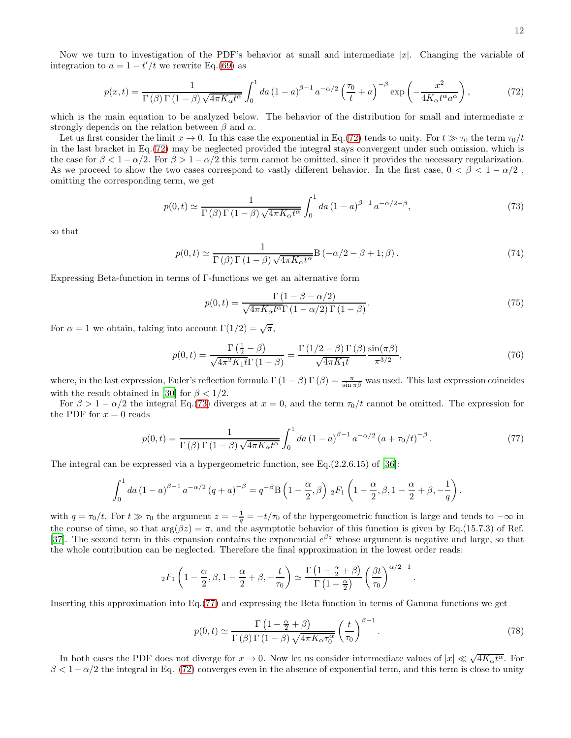<span id="page-11-0"></span>
$$
p(x,t) = \frac{1}{\Gamma(\beta)\Gamma(1-\beta)\sqrt{4\pi K_{\alpha}t^{\alpha}}} \int_{0}^{1} da \left(1-a\right)^{\beta-1} a^{-\alpha/2} \left(\frac{\tau_{0}}{t}+a\right)^{-\beta} \exp\left(-\frac{x^{2}}{4K_{\alpha}t^{\alpha}a^{\alpha}}\right),\tag{72}
$$

which is the main equation to be analyzed below. The behavior of the distribution for small and intermediate  $x$ strongly depends on the relation between  $\beta$  and  $\alpha$ .

Let us first consider the limit  $x \to 0$ . In this case the exponential in Eq.[\(72\)](#page-11-0) tends to unity. For  $t \gg \tau_0$  the term  $\tau_0/t$ in the last bracket in Eq.[\(72\)](#page-11-0) may be neglected provided the integral stays convergent under such omission, which is the case for  $\beta < 1 - \alpha/2$ . For  $\beta > 1 - \alpha/2$  this term cannot be omitted, since it provides the necessary regularization. As we proceed to show the two cases correspond to vastly different behavior. In the first case,  $0 < \beta < 1 - \alpha/2$ , omitting the corresponding term, we get

<span id="page-11-1"></span>
$$
p(0,t) \simeq \frac{1}{\Gamma(\beta)\Gamma(1-\beta)\sqrt{4\pi K_{\alpha}t^{\alpha}}} \int_{0}^{1} da (1-a)^{\beta-1} a^{-\alpha/2-\beta}, \qquad (73)
$$

so that

$$
p(0,t) \simeq \frac{1}{\Gamma(\beta)\Gamma(1-\beta)\sqrt{4\pi K_{\alpha}t^{\alpha}}} \mathcal{B}\left(-\alpha/2 - \beta + 1;\beta\right). \tag{74}
$$

Expressing Beta-function in terms of Γ-functions we get an alternative form

<span id="page-11-3"></span>
$$
p(0,t) = \frac{\Gamma(1 - \beta - \alpha/2)}{\sqrt{4\pi K_{\alpha}t^{\alpha}\Gamma(1 - \alpha/2)\Gamma(1 - \beta)}}.
$$
\n(75)

For  $\alpha = 1$  we obtain, taking into account  $\Gamma(1/2) = \sqrt{\pi}$ ,

$$
p(0,t) = \frac{\Gamma\left(\frac{1}{2} - \beta\right)}{\sqrt{4\pi^2 K_1 t} \Gamma\left(1 - \beta\right)} = \frac{\Gamma\left(1/2 - \beta\right) \Gamma\left(\beta\right)}{\sqrt{4\pi K_1 t}} \frac{\sin(\pi\beta)}{\pi^{3/2}},\tag{76}
$$

where, in the last expression, Euler's reflection formula  $\Gamma(1-\beta)\Gamma(\beta) = \frac{\pi}{\sin \pi \beta}$  was used. This last expression coincides with the result obtained in [\[30\]](#page-19-16) for  $\beta < 1/2$ .

For  $\beta > 1 - \alpha/2$  the integral Eq.[\(73\)](#page-11-1) diverges at  $x = 0$ , and the term  $\tau_0/t$  cannot be omitted. The expression for the PDF for  $x = 0$  reads

<span id="page-11-2"></span>
$$
p(0,t) = \frac{1}{\Gamma(\beta)\Gamma(1-\beta)\sqrt{4\pi K_{\alpha}t^{\alpha}}} \int_{0}^{1} da \left(1-a\right)^{\beta-1} a^{-\alpha/2} \left(a+\tau_{0}/t\right)^{-\beta}.
$$
 (77)

The integral can be expressed via a hypergeometric function, see Eq.(2.2.6.15) of [\[36\]](#page-19-22):

$$
\int_0^1 da (1-a)^{\beta-1} a^{-\alpha/2} (q+a)^{-\beta} = q^{-\beta} B \left( 1 - \frac{\alpha}{2}, \beta \right) {}_2F_1 \left( 1 - \frac{\alpha}{2}, \beta, 1 - \frac{\alpha}{2} + \beta, -\frac{1}{q} \right).
$$

with  $q = \tau_0/t$ . For  $t \gg \tau_0$  the argument  $z = -\frac{1}{q} = -t/\tau_0$  of the hypergeometric function is large and tends to  $-\infty$  in the course of time, so that  $\arg(\beta z) = \pi$ , and the asymptotic behavior of this function is given by Eq.(15.7.3) of Ref. [\[37\]](#page-19-23). The second term in this expansion contains the exponential  $e^{\beta z}$  whose argument is negative and large, so that the whole contribution can be neglected. Therefore the final approximation in the lowest order reads:

$$
{}_2F_1\left(1-\frac{\alpha}{2},\beta,1-\frac{\alpha}{2}+\beta,-\frac{t}{\tau_0}\right)\simeq \frac{\Gamma\left(1-\frac{\alpha}{2}+\beta\right)}{\Gamma\left(1-\frac{\alpha}{2}\right)}\left(\frac{\beta t}{\tau_0}\right)^{\alpha/2-1}
$$

Inserting this approximation into Eq.[\(77\)](#page-11-2) and expressing the Beta function in terms of Gamma functions we get

<span id="page-11-4"></span>
$$
p(0,t) \simeq \frac{\Gamma\left(1 - \frac{\alpha}{2} + \beta\right)}{\Gamma\left(\beta\right)\Gamma\left(1 - \beta\right)\sqrt{4\pi K_{\alpha}\tau_0^{\alpha}}} \left(\frac{t}{\tau_0}\right)^{\beta - 1}.\tag{78}
$$

.

In both cases the PDF does not diverge for  $x \to 0$ . Now let us consider intermediate values of  $|x| \ll \sqrt{4K_{\alpha}t^{\alpha}}$ . For  $\beta < 1-\alpha/2$  the integral in Eq. [\(72\)](#page-11-0) converges even in the absence of exponential term, and this term is close to unity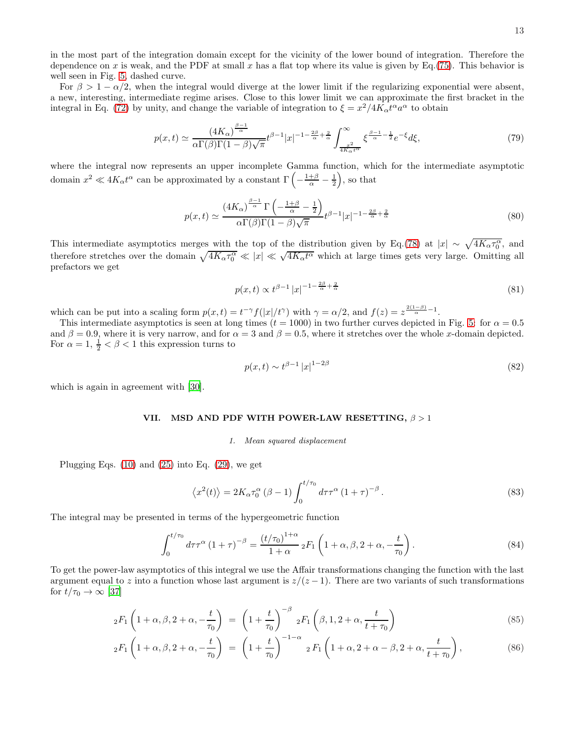in the most part of the integration domain except for the vicinity of the lower bound of integration. Therefore the dependence on x is weak, and the PDF at small x has a flat top where its value is given by Eq.[\(75\)](#page-11-3). This behavior is well seen in Fig. [5,](#page-13-1) dashed curve.

For  $\beta > 1 - \alpha/2$ , when the integral would diverge at the lower limit if the regularizing exponential were absent, a new, interesting, intermediate regime arises. Close to this lower limit we can approximate the first bracket in the integral in Eq. [\(72\)](#page-11-0) by unity, and change the variable of integration to  $\xi = x^2/4K_\alpha t^\alpha a^\alpha$  to obtain

$$
p(x,t) \simeq \frac{(4K_{\alpha})^{\frac{\beta-1}{\alpha}}}{\alpha \Gamma(\beta)\Gamma(1-\beta)\sqrt{\pi}} t^{\beta-1}|x|^{-1-\frac{2\beta}{\alpha}+\frac{2}{\alpha}} \int_{\frac{x^2}{4K_{\alpha}t^{\alpha}}}^{\infty} \xi^{\frac{\beta-1}{\alpha}-\frac{1}{2}} e^{-\xi} d\xi,
$$
\n(79)

where the integral now represents an upper incomplete Gamma function, which for the intermediate asymptotic domain  $x^2 \ll 4K_\alpha t^\alpha$  can be approximated by a constant  $\Gamma\left(-\frac{1+\beta}{\alpha} - \frac{1}{2}\right)$ , so that

<span id="page-12-1"></span>
$$
p(x,t) \simeq \frac{\left(4K_{\alpha}\right)^{\frac{\beta-1}{\alpha}} \Gamma\left(-\frac{1+\beta}{\alpha}-\frac{1}{2}\right)}{\alpha \Gamma(\beta)\Gamma(1-\beta)\sqrt{\pi}} t^{\beta-1}|x|^{-1-\frac{2\beta}{\alpha}+\frac{2}{\alpha}}
$$
(80)

This intermediate asymptotics merges with the top of the distribution given by Eq.[\(78\)](#page-11-4) at  $|x| \sim \sqrt{4K_{\alpha}\tau_0^{\alpha}}$ , and therefore stretches over the domain  $\sqrt{4K_{\alpha}\tau_0^{\alpha}} \ll |x| \ll \sqrt{4K_{\alpha}t^{\alpha}}$  which at large times gets very large. Omitting all prefactors we get

<span id="page-12-0"></span>
$$
p(x,t) \propto t^{\beta - 1} |x|^{-1 - \frac{2\beta}{\alpha} + \frac{2}{\alpha}}
$$
\n(81)

which can be put into a scaling form  $p(x,t) = t^{-\gamma} f(|x|/t^{\gamma})$  with  $\gamma = \alpha/2$ , and  $f(z) = z^{\frac{2(1-\beta)}{\alpha}-1}$ .

This intermediate asymptotics is seen at long times ( $t = 1000$ ) in two further curves depicted in Fig. [5:](#page-13-1) for  $\alpha = 0.5$ and  $\beta = 0.9$ , where it is very narrow, and for  $\alpha = 3$  and  $\beta = 0.5$ , where it stretches over the whole x-domain depicted. For  $\alpha = 1, \frac{1}{2} < \beta < 1$  this expression turns to

$$
p(x,t) \sim t^{\beta - 1} |x|^{1 - 2\beta} \tag{82}
$$

which is again in agreement with [\[30](#page-19-16)].

#### VII. MSD AND PDF WITH POWER-LAW RESETTING,  $\beta > 1$

#### 1. Mean squared displacement

Plugging Eqs.  $(10)$  and  $(25)$  into Eq.  $(29)$ , we get

<span id="page-12-4"></span>
$$
\langle x^2(t) \rangle = 2K_{\alpha} \tau_0^{\alpha} (\beta - 1) \int_0^{t/\tau_0} d\tau \tau^{\alpha} (1 + \tau)^{-\beta} . \tag{83}
$$

The integral may be presented in terms of the hypergeometric function

<span id="page-12-3"></span>
$$
\int_0^{t/\tau_0} d\tau \tau^{\alpha} (1+\tau)^{-\beta} = \frac{(t/\tau_0)^{1+\alpha}}{1+\alpha} {}_2F_1\left(1+\alpha, \beta, 2+\alpha, -\frac{t}{\tau_0}\right). \tag{84}
$$

To get the power-law asymptotics of this integral we use the Affair transformations changing the function with the last argument equal to z into a function whose last argument is  $z/(z-1)$ . There are two variants of such transformations for  $t/\tau_0 \rightarrow \infty$  [\[37](#page-19-23)]

<span id="page-12-2"></span>
$$
{}_2F_1\left(1+\alpha,\beta,2+\alpha,-\frac{t}{\tau_0}\right) = \left(1+\frac{t}{\tau_0}\right)^{-\beta} {}_2F_1\left(\beta,1,2+\alpha,\frac{t}{t+\tau_0}\right) \tag{85}
$$

$$
{}_2F_1\left(1+\alpha,\beta,2+\alpha,-\frac{t}{\tau_0}\right) = \left(1+\frac{t}{\tau_0}\right)^{-1-\alpha} {}_2F_1\left(1+\alpha,2+\alpha-\beta,2+\alpha,\frac{t}{t+\tau_0}\right),\tag{86}
$$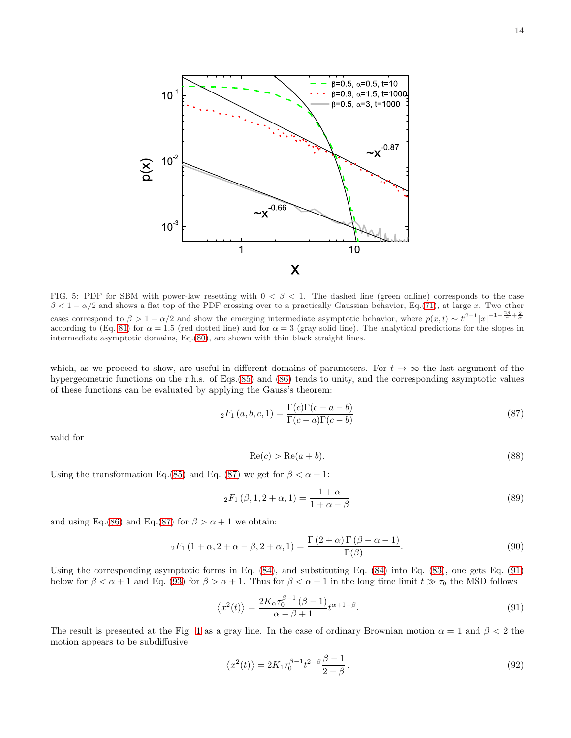

<span id="page-13-1"></span>FIG. 5: PDF for SBM with power-law resetting with  $0 < \beta < 1$ . The dashed line (green online) corresponds to the case  $\beta < 1 - \alpha/2$  and shows a flat top of the PDF crossing over to a practically Gaussian behavior, Eq.[\(71\)](#page-10-2), at large x. Two other cases correspond to  $\beta > 1 - \alpha/2$  and show the emerging intermediate asymptotic behavior, where  $p(x,t) \sim t^{\beta-1} |x|^{-1-\frac{2\beta}{\alpha}+\frac{2}{\alpha}}$ according to (Eq. [81\)](#page-12-0) for  $\alpha = 1.5$  (red dotted line) and for  $\alpha = 3$  (gray solid line). The analytical predictions for the slopes in intermediate asymptotic domains, Eq.[\(80\)](#page-12-1), are shown with thin black straight lines.

which, as we proceed to show, are useful in different domains of parameters. For  $t \to \infty$  the last argument of the hypergeometric functions on the r.h.s. of Eqs.[\(85\)](#page-12-2) and [\(86\)](#page-12-2) tends to unity, and the corresponding asymptotic values of these functions can be evaluated by applying the Gauss's theorem:

<span id="page-13-2"></span>
$$
{}_{2}F_{1}(a,b,c,1) = \frac{\Gamma(c)\Gamma(c-a-b)}{\Gamma(c-a)\Gamma(c-b)}
$$
\n
$$
(87)
$$

valid for

$$
Re(c) > Re(a+b). \tag{88}
$$

Using the transformation Eq.[\(85\)](#page-12-2) and Eq. [\(87\)](#page-13-2) we get for  $\beta < \alpha + 1$ :

$$
{}_2F_1(\beta, 1, 2 + \alpha, 1) = \frac{1 + \alpha}{1 + \alpha - \beta}
$$
\n(89)

and using Eq.[\(86\)](#page-12-2) and Eq.[\(87\)](#page-13-2) for  $\beta > \alpha + 1$  we obtain:

$$
{}_2F_1(1+\alpha, 2+\alpha-\beta, 2+\alpha, 1) = \frac{\Gamma(2+\alpha)\Gamma(\beta-\alpha-1)}{\Gamma(\beta)}.
$$
\n(90)

Using the corresponding asymptotic forms in Eq. [\(84\)](#page-12-3), and substituting Eq. [\(84\)](#page-12-3) into Eq. [\(83\)](#page-12-4), one gets Eq. [\(91\)](#page-13-0) below for  $\beta < \alpha + 1$  and Eq. [\(93\)](#page-14-0) for  $\beta > \alpha + 1$ . Thus for  $\beta < \alpha + 1$  in the long time limit  $t \gg \tau_0$  the MSD follows

<span id="page-13-0"></span>
$$
\langle x^2(t) \rangle = \frac{2K_{\alpha} \tau_0^{\beta - 1} (\beta - 1)}{\alpha - \beta + 1} t^{\alpha + 1 - \beta}.
$$
\n(91)

The result is presented at the Fig. [1](#page-6-0) as a gray line. In the case of ordinary Brownian motion  $\alpha = 1$  and  $\beta < 2$  the motion appears to be subdiffusive

$$
\langle x^2(t) \rangle = 2K_1 \tau_0^{\beta - 1} t^{2 - \beta} \frac{\beta - 1}{2 - \beta}.
$$
\n
$$
(92)
$$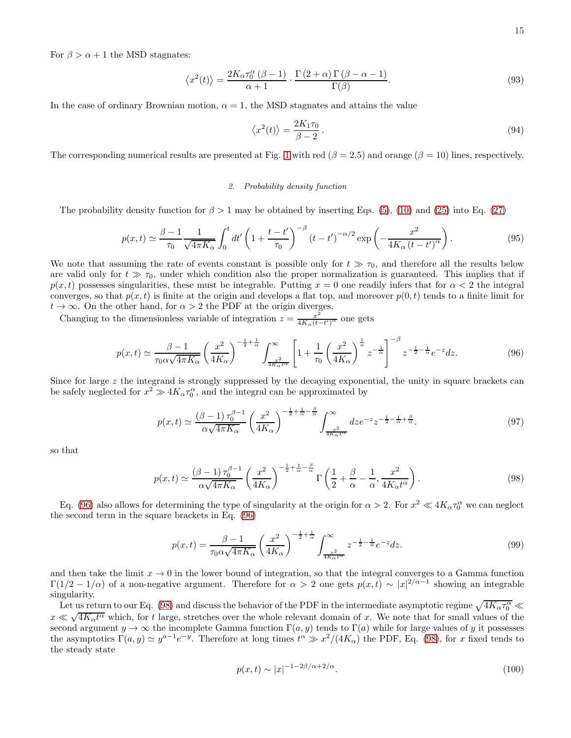For  $\beta > \alpha + 1$  the MSD stagnates:

<span id="page-14-0"></span>
$$
\left\langle x^{2}(t)\right\rangle = \frac{2K_{\alpha}\tau_{0}^{\alpha}\left(\beta - 1\right)}{\alpha + 1} \cdot \frac{\Gamma\left(2 + \alpha\right)\Gamma\left(\beta - \alpha - 1\right)}{\Gamma(\beta)}.\tag{93}
$$

In the case of ordinary Brownian motion,  $\alpha = 1$ , the MSD stagnates and attains the value

$$
\langle x^2(t) \rangle = \frac{2K_1 \tau_0}{\beta - 2} \,. \tag{94}
$$

The corresponding numerical results are presented at Fig. [1](#page-6-0) with red ( $\beta = 2.5$ ) and orange ( $\beta = 10$ ) lines, respectively.

#### 2. Probability density function

The probability density function for  $\beta > 1$  may be obtained by inserting Eqs. [\(5\)](#page-1-0), [\(10\)](#page-2-4) and [\(25\)](#page-3-4) into Eq. [\(27\)](#page-3-2)

$$
p(x,t) \simeq \frac{\beta - 1}{\tau_0} \frac{1}{\sqrt{4\pi K_\alpha}} \int_0^t dt' \left(1 + \frac{t - t'}{\tau_0}\right)^{-\beta} \left(t - t'\right)^{-\alpha/2} \exp\left(-\frac{x^2}{4K_\alpha \left(t - t'\right)^\alpha}\right). \tag{95}
$$

We note that assuming the rate of events constant is possible only for  $t \gg \tau_0$ , and therefore all the results below are valid only for  $t \gg \tau_0$ , under which condition also the proper normalization is guaranteed. This implies that if  $p(x, t)$  possesses singularities, these must be integrable. Putting  $x = 0$  one readily infers that for  $\alpha < 2$  the integral converges, so that  $p(x, t)$  is finite at the origin and develops a flat top, and moreover  $p(0, t)$  tends to a finite limit for  $t \to \infty$ . On the other hand, for  $\alpha > 2$  the PDF at the origin diverges.

Changing to the dimensionless variable of integration  $z = \frac{x^2}{4K}$  $\frac{x^2}{4K_α(t-t')^α}$  one gets

<span id="page-14-1"></span>
$$
p(x,t) \simeq \frac{\beta - 1}{\tau_0 \alpha \sqrt{4\pi K_\alpha}} \left(\frac{x^2}{4K_\alpha}\right)^{-\frac{1}{2} + \frac{1}{\alpha}} \int_{\frac{x^2}{4K_\alpha t^\alpha}}^{\infty} \left[1 + \frac{1}{\tau_0} \left(\frac{x^2}{4K_\alpha}\right)^{\frac{1}{\alpha}} z^{-\frac{1}{\alpha}}\right]^{-\beta} z^{-\frac{1}{2} - \frac{1}{\alpha}} e^{-z} dz.
$$
 (96)

Since for large z the integrand is strongly suppressed by the decaying exponential, the unity in square brackets can be safely neglected for  $x^2 \gg 4K_{\alpha} \tau_0^{\alpha}$ , and the integral can be approximated by

$$
p(x,t) \simeq \frac{(\beta - 1)\tau_0^{\beta - 1}}{\alpha\sqrt{4\pi K_\alpha}} \left(\frac{x^2}{4K_\alpha}\right)^{-\frac{1}{2} + \frac{1}{\alpha} - \frac{\beta}{\alpha}} \int_{\frac{x^2}{4K_\alpha t^\alpha}}^{\infty} dz e^{-z} z^{-\frac{1}{2} - \frac{1}{\alpha} + \frac{\beta}{\alpha}}.
$$
 (97)

so that

<span id="page-14-2"></span>
$$
p(x,t) \simeq \frac{(\beta - 1)\tau_0^{\beta - 1}}{\alpha\sqrt{4\pi K_\alpha}} \left(\frac{x^2}{4K_\alpha}\right)^{-\frac{1}{2} + \frac{1}{\alpha} - \frac{\beta}{\alpha}} \Gamma\left(\frac{1}{2} + \frac{\beta}{\alpha} - \frac{1}{\alpha}, \frac{x^2}{4K_\alpha t^\alpha}\right). \tag{98}
$$

Eq. [\(96\)](#page-14-1) also allows for determining the type of singularity at the origin for  $\alpha > 2$ . For  $x^2 \ll 4K_\alpha \tau_0^\alpha$  we can neglect the second term in the square brackets in Eq. [\(96\)](#page-14-1)

$$
p(x,t) = \frac{\beta - 1}{\tau_0 \alpha \sqrt{4\pi K_\alpha}} \left(\frac{x^2}{4K_\alpha}\right)^{-\frac{1}{2} + \frac{1}{\alpha}} \int_{\frac{x^2}{4K_\alpha t^\alpha}}^{\infty} z^{-\frac{1}{2} - \frac{1}{\alpha}} e^{-z} dz.
$$
 (99)

and then take the limit  $x \to 0$  in the lower bound of integration, so that the integral converges to a Gamma function  $\Gamma(1/2-1/\alpha)$  of a non-negative argument. Therefore for  $\alpha > 2$  one gets  $p(x,t) \sim |x|^{2/\alpha-1}$  showing an integrable singularity.

Let us return to our Eq. [\(98\)](#page-14-2) and discuss the behavior of the PDF in the intermediate asymptotic regime  $\sqrt{4K_{\alpha}\tau_0^{\alpha}}$  $x \ll \sqrt{4K_{\alpha}t^{\alpha}}$  which, for t large, stretches over the whole relevant domain of x. We note that for small values of the second argument  $y \to \infty$  the incomplete Gamma function  $\Gamma(a, y)$  tends to  $\Gamma(a)$  while for large values of y it possesses the asymptotics  $\Gamma(a, y) \simeq y^{a-1} e^{-y}$ . Therefore at long times  $t^{\alpha} \gg x^2/(4K_{\alpha})$  the PDF, Eq. [\(98\)](#page-14-2), for x fixed tends to the steady state

<span id="page-14-3"></span>
$$
p(x,t) \sim |x|^{-1 - 2\beta/\alpha + 2/\alpha}.\tag{100}
$$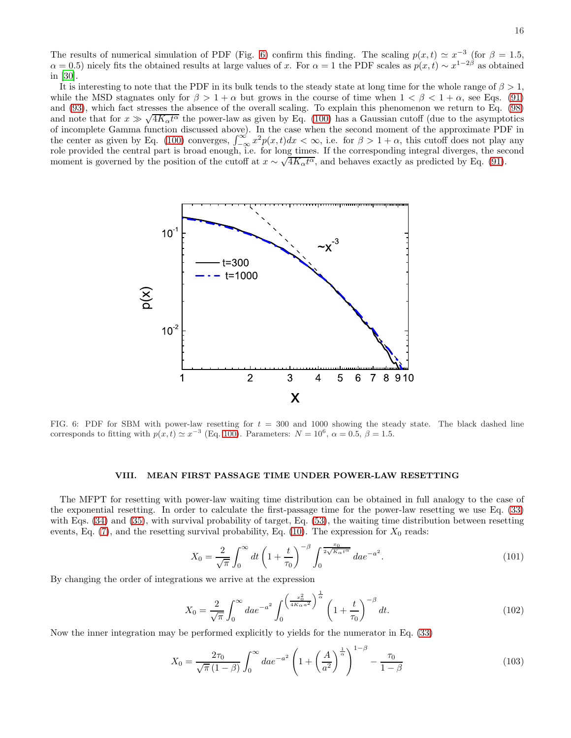The results of numerical simulation of PDF (Fig. [6\)](#page-15-0) confirm this finding. The scaling  $p(x,t) \simeq x^{-3}$  (for  $\beta = 1.5$ ,  $\alpha = 0.5$ ) nicely fits the obtained results at large values of x. For  $\alpha = 1$  the PDF scales as  $p(x, t) \sim x^{1-2\beta}$  as obtained in [\[30](#page-19-16)].

It is interesting to note that the PDF in its bulk tends to the steady state at long time for the whole range of  $\beta > 1$ , while the MSD stagnates only for  $\beta > 1 + \alpha$  but grows in the course of time when  $1 < \beta < 1 + \alpha$ , see Eqs. [\(91\)](#page-13-0) and [\(93\)](#page-14-0), which fact stresses the absence of the overall scaling. To explain this phenomenon we return to Eq. [\(98\)](#page-14-2) and note that for  $x \gg \sqrt{4K_{\alpha}t^{\alpha}}$  the power-law as given by Eq. [\(100\)](#page-14-3) has a Gaussian cutoff (due to the asymptotics of incomplete Gamma function discussed above). In the case when the second moment of the approximate PDF in the center as given by Eq. [\(100\)](#page-14-3) converges,  $\int_{-\infty}^{\infty} x^2 p(x,t) dx < \infty$ , i.e. for  $\beta > 1 + \alpha$ , this cutoff does not play any role provided the central part is broad enough, i.e. for long times. If the corresponding integral diverges, the second moment is governed by the position of the cutoff at  $x \sim \sqrt{4K_{\alpha}t^{\alpha}}$ , and behaves exactly as predicted by Eq. [\(91\)](#page-13-0).



<span id="page-15-0"></span>FIG. 6: PDF for SBM with power-law resetting for  $t = 300$  and 1000 showing the steady state. The black dashed line corresponds to fitting with  $p(x, t) \simeq x^{-3}$  (Eq. [100\)](#page-14-3). Parameters:  $N = 10^6$ ,  $\alpha = 0.5$ ,  $\beta = 1.5$ .

### VIII. MEAN FIRST PASSAGE TIME UNDER POWER-LAW RESETTING

The MFPT for resetting with power-law waiting time distribution can be obtained in full analogy to the case of the exponential resetting. In order to calculate the first-passage time for the power-law resetting we use Eq. [\(33\)](#page-4-0) with Eqs. [\(34\)](#page-4-2) and [\(35\)](#page-4-4), with survival probability of target, Eq. [\(53\)](#page-8-0), the waiting time distribution between resetting events, Eq.  $(7)$ , and the resetting survival probability, Eq.  $(10)$ . The expression for  $X_0$  reads:

$$
X_0 = \frac{2}{\sqrt{\pi}} \int_0^\infty dt \left( 1 + \frac{t}{\tau_0} \right)^{-\beta} \int_0^{\frac{x_0}{2\sqrt{K_\alpha t^\alpha}}} da e^{-a^2}.
$$
 (101)

By changing the order of integrations we arrive at the expression

$$
X_0 = \frac{2}{\sqrt{\pi}} \int_0^\infty da e^{-a^2} \int_0^{\left(\frac{x_0^2}{4K_\alpha a^2}\right)^{\frac{1}{\alpha}}} \left(1 + \frac{t}{\tau_0}\right)^{-\beta} dt.
$$
 (102)

Now the inner integration may be performed explicitly to yields for the numerator in Eq. [\(33\)](#page-4-0)

$$
X_0 = \frac{2\tau_0}{\sqrt{\pi} (1 - \beta)} \int_0^\infty da e^{-a^2} \left( 1 + \left( \frac{A}{a^2} \right)^{\frac{1}{\alpha}} \right)^{1 - \beta} - \frac{\tau_0}{1 - \beta} \tag{103}
$$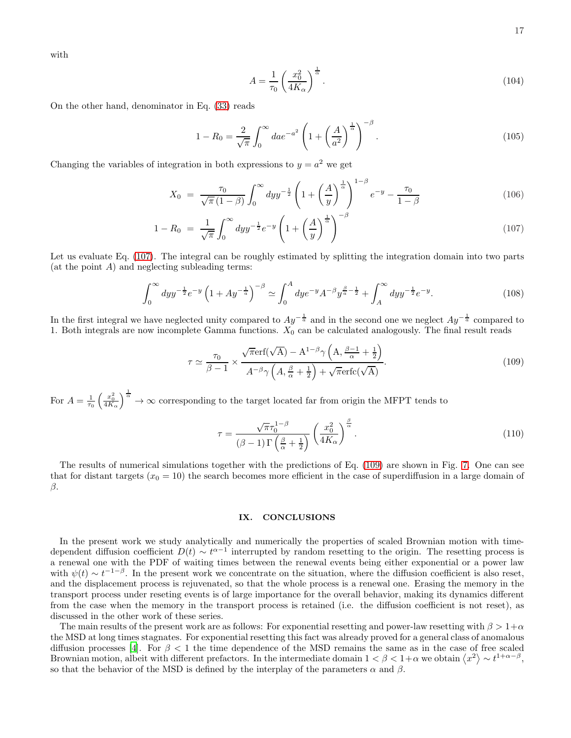with

$$
A = \frac{1}{\tau_0} \left(\frac{x_0^2}{4K_\alpha}\right)^{\frac{1}{\alpha}}.\tag{104}
$$

On the other hand, denominator in Eq. [\(33\)](#page-4-0) reads

$$
1 - R_0 = \frac{2}{\sqrt{\pi}} \int_0^\infty da e^{-a^2} \left( 1 + \left( \frac{A}{a^2} \right)^{\frac{1}{\alpha}} \right)^{-\beta} . \tag{105}
$$

Changing the variables of integration in both expressions to  $y = a^2$  we get

<span id="page-16-0"></span>
$$
X_0 = \frac{\tau_0}{\sqrt{\pi} (1 - \beta)} \int_0^\infty dy y^{-\frac{1}{2}} \left( 1 + \left( \frac{A}{y} \right)^{\frac{1}{\alpha}} \right)^{1 - \beta} e^{-y} - \frac{\tau_0}{1 - \beta} \tag{106}
$$

$$
1 - R_0 = \frac{1}{\sqrt{\pi}} \int_0^\infty dy y^{-\frac{1}{2}} e^{-y} \left( 1 + \left( \frac{A}{y} \right)^{\frac{1}{\alpha}} \right)^{-\beta} \tag{107}
$$

Let us evaluate Eq. [\(107\)](#page-16-0). The integral can be roughly estimated by splitting the integration domain into two parts  $(at the point A)$  and neglecting subleading terms:

$$
\int_0^\infty dy y^{-\frac{1}{2}} e^{-y} \left( 1 + A y^{-\frac{1}{a}} \right)^{-\beta} \simeq \int_0^A dy e^{-y} A^{-\beta} y^{\frac{\beta}{a} - \frac{1}{2}} + \int_A^\infty dy y^{-\frac{1}{2}} e^{-y} . \tag{108}
$$

In the first integral we have neglected unity compared to  $Ay^{-\frac{1}{a}}$  and in the second one we neglect  $Ay^{-\frac{1}{a}}$  compared to 1. Both integrals are now incomplete Gamma functions.  $X_0$  can be calculated analogously. The final result reads

<span id="page-16-1"></span>
$$
\tau \simeq \frac{\tau_0}{\beta - 1} \times \frac{\sqrt{\pi} \mathrm{erf}(\sqrt{\mathbf{A}}) - \mathbf{A}^{1-\beta} \gamma \left(\mathbf{A}, \frac{\beta - 1}{\alpha} + \frac{1}{2}\right)}{\mathbf{A}^{-\beta} \gamma \left(\mathbf{A}, \frac{\beta}{\alpha} + \frac{1}{2}\right) + \sqrt{\pi} \mathrm{erfc}(\sqrt{\mathbf{A}})}.
$$
\n(109)

For  $A = \frac{1}{\tau_0} \left( \frac{x_0^2}{4K_\alpha} \right)^{\frac{1}{\alpha}} \to \infty$  corresponding to the target located far from origin the MFPT tends to

$$
\tau = \frac{\sqrt{\pi}\tau_0^{1-\beta}}{(\beta-1)\Gamma\left(\frac{\beta}{\alpha}+\frac{1}{2}\right)} \left(\frac{x_0^2}{4K_{\alpha}}\right)^{\frac{\beta}{\alpha}}.
$$
\n(110)

The results of numerical simulations together with the predictions of Eq. [\(109\)](#page-16-1) are shown in Fig. [7.](#page-17-0) One can see that for distant targets  $(x_0 = 10)$  the search becomes more efficient in the case of superdiffusion in a large domain of  $\beta$ .

### IX. CONCLUSIONS

In the present work we study analytically and numerically the properties of scaled Brownian motion with timedependent diffusion coefficient  $D(t) \sim t^{\alpha-1}$  interrupted by random resetting to the origin. The resetting process is a renewal one with the PDF of waiting times between the renewal events being either exponential or a power law with  $\psi(t) \sim t^{-1-\beta}$ . In the present work we concentrate on the situation, where the diffusion coefficient is also reset, and the displacement process is rejuvenated, so that the whole process is a renewal one. Erasing the memory in the transport process under reseting events is of large importance for the overall behavior, making its dynamics different from the case when the memory in the transport process is retained (i.e. the diffusion coefficient is not reset), as discussed in the other work of these series.

The main results of the present work are as follows: For exponential resetting and power-law resetting with  $\beta > 1+\alpha$ the MSD at long times stagnates. For exponential resetting this fact was already proved for a general class of anomalous diffusion processes [\[4](#page-18-3)]. For  $\beta < 1$  the time dependence of the MSD remains the same as in the case of free scaled Brownian motion, albeit with different prefactors. In the intermediate domain  $1 < \beta < 1+\alpha$  we obtain  $\langle x^2 \rangle \sim t^{1+\alpha-\beta}$ , so that the behavior of the MSD is defined by the interplay of the parameters  $\alpha$  and  $\beta$ .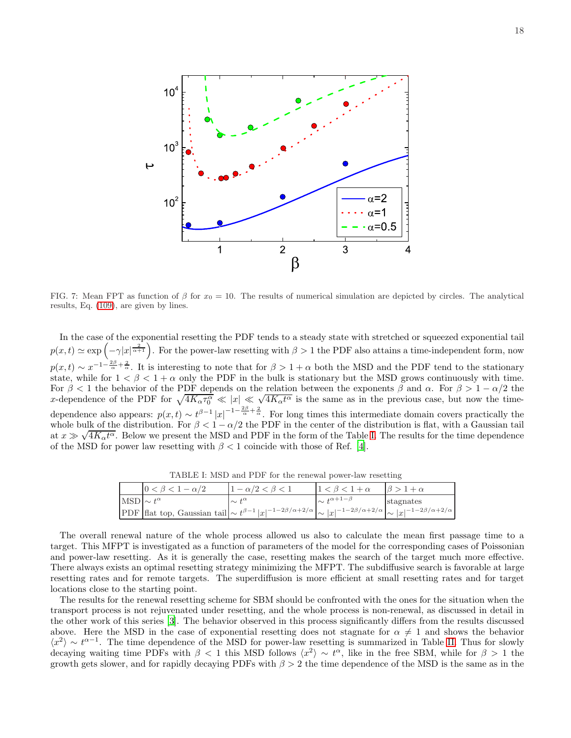

<span id="page-17-0"></span>FIG. 7: Mean FPT as function of  $\beta$  for  $x_0 = 10$ . The results of numerical simulation are depicted by circles. The analytical results, Eq. [\(109\)](#page-16-1), are given by lines.

In the case of the exponential resetting the PDF tends to a steady state with stretched or squeezed exponential tail  $p(x,t) \simeq \exp\left(-\gamma|x|^{\frac{2}{\alpha+1}}\right)$ . For the power-law resetting with  $\beta > 1$  the PDF also attains a time-independent form, now  $p(x,t) \sim x^{-1-\frac{2\beta}{\alpha}+\frac{2}{\alpha}}$ . It is interesting to note that for  $\beta > 1+\alpha$  both the MSD and the PDF tend to the stationary state, while for  $1 < \beta < 1 + \alpha$  only the PDF in the bulk is stationary but the MSD grows continuously with time. For  $\beta < 1$  the behavior of the PDF depends on the relation between the exponents  $\beta$  and  $\alpha$ . For  $\beta > 1 - \alpha/2$  the x-dependence of the PDF for  $\sqrt{4K_{\alpha}\tau_0^{\alpha}} \ll |x| \ll \sqrt{4K_{\alpha}t^{\alpha}}$  is the same as in the previous case, but now the timedependence also appears:  $p(x,t) \sim t^{\beta-1} |x|^{-1-\frac{2\beta}{\alpha}}$ . For long times this intermediate domain covers practically the whole bulk of the distribution. For  $\beta < 1 - \alpha/2$  the PDF in the center of the distribution is flat, with a Gaussian tail at  $x \gg \sqrt{4K_{\alpha}t^{\alpha}}$ . Below we present the MSD and PDF in the form of the Table [I.](#page-17-1) The results for the time dependence of the MSD for power law resetting with  $\beta < 1$  coincide with those of Ref. [\[4\]](#page-18-3).

<span id="page-17-1"></span>TABLE I: MSD and PDF for the renewal power-law resetting

|                       | $0 < \beta < 1 - \alpha/2$ | $1 - \alpha/2 < \beta < 1$                                                                                                                                           |                           |           |
|-----------------------|----------------------------|----------------------------------------------------------------------------------------------------------------------------------------------------------------------|---------------------------|-----------|
| $MSD \sim t^{\alpha}$ |                            | $\sim t^{\alpha}$                                                                                                                                                    | $\sim t^{\alpha+1-\beta}$ | stagnates |
|                       |                            | PDF flat top, Gaussian tail $\left \sim t^{\beta-1} x ^{-1-2\beta/\alpha+2/\alpha}\right  \sim  x ^{-1-2\beta/\alpha+2/\alpha} \sim  x ^{-1-2\beta/\alpha+2/\alpha}$ |                           |           |

The overall renewal nature of the whole process allowed us also to calculate the mean first passage time to a target. This MFPT is investigated as a function of parameters of the model for the corresponding cases of Poissonian and power-law resetting. As it is generally the case, resetting makes the search of the target much more effective. There always exists an optimal resetting strategy minimizing the MFPT. The subdiffusive search is favorable at large resetting rates and for remote targets. The superdiffusion is more efficient at small resetting rates and for target locations close to the starting point.

The results for the renewal resetting scheme for SBM should be confronted with the ones for the situation when the transport process is not rejuvenated under resetting, and the whole process is non-renewal, as discussed in detail in the other work of this series [\[3\]](#page-18-2). The behavior observed in this process significantly differs from the results discussed above. Here the MSD in the case of exponential resetting does not stagnate for  $\alpha \neq 1$  and shows the behavior  $\langle x^2 \rangle \sim t^{\alpha-1}$ . The time dependence of the MSD for power-law resetting is summarized in Table [II.](#page-18-8) Thus for slowly decaying waiting time PDFs with  $\beta < 1$  this MSD follows  $\langle x^2 \rangle \sim t^{\alpha}$ , like in the free SBM, while for  $\beta > 1$  the growth gets slower, and for rapidly decaying PDFs with  $\beta > 2$  the time dependence of the MSD is the same as in the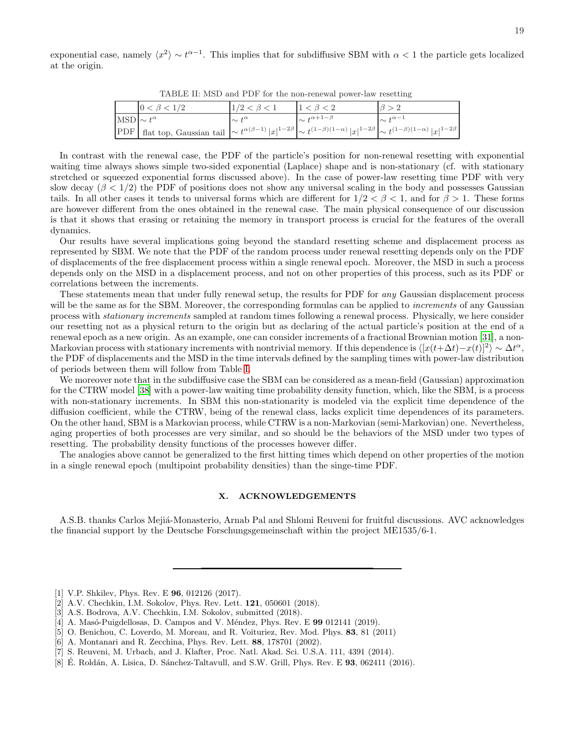exponential case, namely  $\langle x^2 \rangle \sim t^{\alpha-1}$ . This implies that for subdiffusive SBM with  $\alpha < 1$  the particle gets localized at the origin.

<span id="page-18-8"></span>TABLE II: MSD and PDF for the non-renewal power-law resetting

|                       | $0 < \beta < 1/2$                                                                                                                                                                           | $1/2 < \beta < 1$ | $1 < \beta < 2$           |                     |
|-----------------------|---------------------------------------------------------------------------------------------------------------------------------------------------------------------------------------------|-------------------|---------------------------|---------------------|
| MSD $\sim t^{\alpha}$ |                                                                                                                                                                                             | $\sim t^{\alpha}$ | $\sim t^{\alpha+1-\beta}$ | $\sim t^{\alpha-1}$ |
|                       | PDF flat top, Gaussian tail $\left  \sim t^{\alpha(\beta-1)}  x ^{1-2\beta} \right  \sim t^{(1-\beta)(1-\alpha)}  x ^{1-2\beta} \left  \sim t^{(1-\beta)(1-\alpha)}  x ^{1-2\beta} \right $ |                   |                           |                     |

In contrast with the renewal case, the PDF of the particle's position for non-renewal resetting with exponential waiting time always shows simple two-sided exponential (Laplace) shape and is non-stationary (cf. with stationary stretched or squeezed exponential forms discussed above). In the case of power-law resetting time PDF with very slow decay ( $\beta$  < 1/2) the PDF of positions does not show any universal scaling in the body and possesses Gaussian tails. In all other cases it tends to universal forms which are different for  $1/2 < \beta < 1$ , and for  $\beta > 1$ . These forms are however different from the ones obtained in the renewal case. The main physical consequence of our discussion is that it shows that erasing or retaining the memory in transport process is crucial for the features of the overall dynamics.

Our results have several implications going beyond the standard resetting scheme and displacement process as represented by SBM. We note that the PDF of the random process under renewal resetting depends only on the PDF of displacements of the free displacement process within a single renewal epoch. Moreover, the MSD in such a process depends only on the MSD in a displacement process, and not on other properties of this process, such as its PDF or correlations between the increments.

These statements mean that under fully renewal setup, the results for PDF for any Gaussian displacement process will be the same as for the SBM. Moreover, the corresponding formulas can be applied to *increments* of any Gaussian process with stationary increments sampled at random times following a renewal process. Physically, we here consider our resetting not as a physical return to the origin but as declaring of the actual particle's position at the end of a renewal epoch as a new origin. As an example, one can consider increments of a fractional Brownian motion [\[31](#page-19-17)], a non-Markovian process with stationary increments with nontrivial memory. If this dependence is  $\langle [x(t+\Delta t)-x(t)]^2 \rangle \sim \Delta t^{\alpha}$ , the PDF of displacements and the MSD in the time intervals defined by the sampling times with power-law distribution of periods between them will follow from Table [I.](#page-17-1)

We moreover note that in the subdiffusive case the SBM can be considered as a mean-field (Gaussian) approximation for the CTRW model [\[38\]](#page-19-24) with a power-law waiting time probability density function, which, like the SBM, is a process with non-stationary increments. In SBM this non-stationarity is modeled via the explicit time dependence of the diffusion coefficient, while the CTRW, being of the renewal class, lacks explicit time dependences of its parameters. On the other hand, SBM is a Markovian process, while CTRW is a non-Markovian (semi-Markovian) one. Nevertheless, aging properties of both processes are very similar, and so should be the behaviors of the MSD under two types of resetting. The probability density functions of the processes however differ.

The analogies above cannot be generalized to the first hitting times which depend on other properties of the motion in a single renewal epoch (multipoint probability densities) than the singe-time PDF.

# X. ACKNOWLEDGEMENTS

A.S.B. thanks Carlos Mejiá-Monasterio, Arnab Pal and Shlomi Reuveni for fruitful discussions. AVC acknowledges the financial support by the Deutsche Forschungsgemeinschaft within the project ME1535/6-1.

- <span id="page-18-0"></span>[1] V.P. Shkilev, Phys. Rev. E **96**, 012126 (2017).
- <span id="page-18-1"></span>[2] A.V. Chechkin, I.M. Sokolov, Phys. Rev. Lett. 121, 050601 (2018).
- <span id="page-18-2"></span>[3] A.S. Bodrova, A.V. Chechkin, I.M. Sokolov, submitted (2018).
- <span id="page-18-3"></span>[4] A. Masó-Puigdellosas, D. Campos and V. Méndez, Phys. Rev. E  $99\ 012141$  (2019).
- <span id="page-18-4"></span>[5] O. Benichou, C. Loverdo, M. Moreau, and R. Voituriez, Rev. Mod. Phys. 83, 81 (2011)
- <span id="page-18-5"></span>[6] A. Montanari and R. Zecchina, Phys. Rev. Lett. 88, 178701 (2002).
- <span id="page-18-6"></span>[7] S. Reuveni, M. Urbach, and J. Klafter, Proc. Natl. Akad. Sci. U.S.A. 111, 4391 (2014).
- <span id="page-18-7"></span>[8] É. Roldán, A. Lisica, D. Sánchez-Taltavull, and S.W. Grill, Phys. Rev. E  $93$ , 062411 (2016).